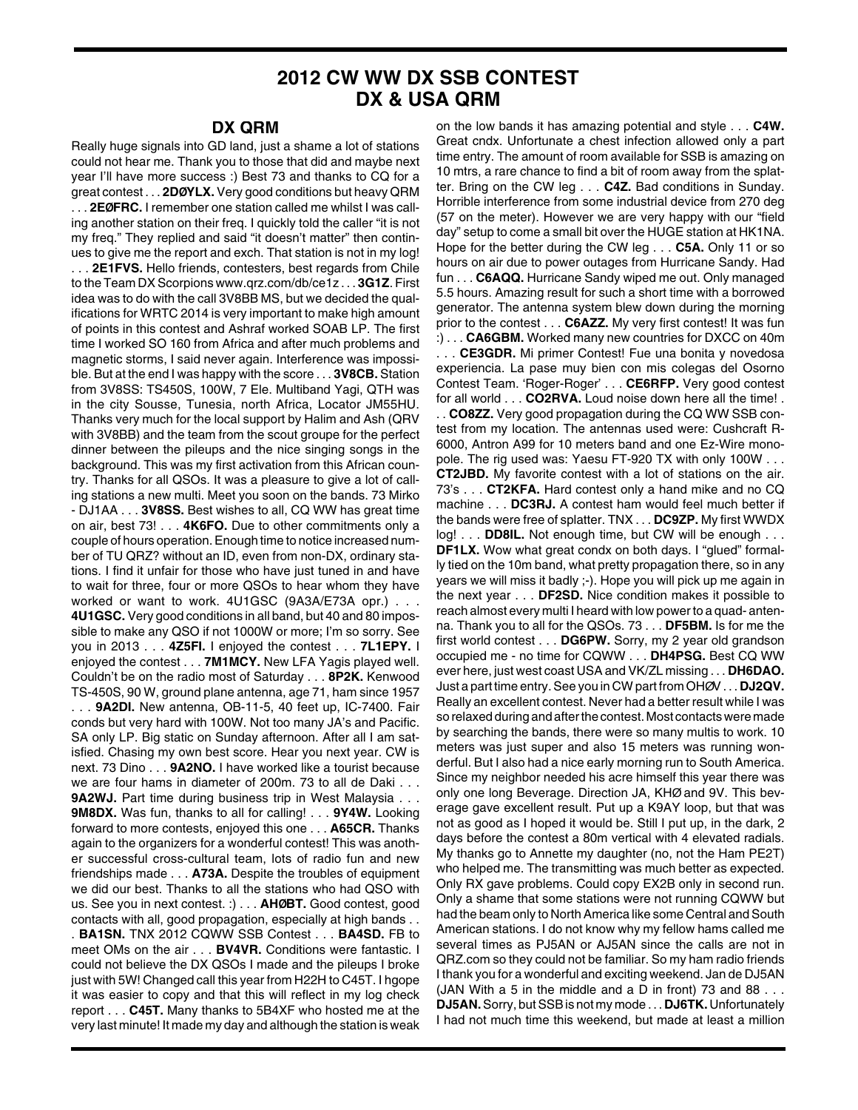## **2012 CW WW DX SSB CONTEST DX & USA QRM**

## **DX QRM**

Really huge signals into GD land, just a shame a lot of stations could not hear me. Thank you to those that did and maybe next year I'll have more success :) Best 73 and thanks to CQ for a great contest . . . **2DØYLX.** Very good conditions but heavy QRM . . . **2EØFRC.** I remember one station called me whilst I was calling another station on their freq. I quickly told the caller "it is not my freq." They replied and said "it doesn't matter" then continues to give me the report and exch. That station is not in my log! . . . **2E1FVS.** Hello friends, contesters, best regards from Chile to the Team DX Scorpions www.qrz.com/db/ce1z . . . **3G1Z**. First idea was to do with the call 3V8BB MS, but we decided the qualifications for WRTC 2014 is very important to make high amount of points in this contest and Ashraf worked SOAB LP. The first time I worked SO 160 from Africa and after much problems and magnetic storms, I said never again. Interference was impossible. But at the end I was happy with the score . . . **3V8CB.** Station from 3V8SS: TS450S, 100W, 7 Ele. Multiband Yagi, QTH was in the city Sousse, Tunesia, north Africa, Locator JM55HU. Thanks very much for the local support by Halim and Ash (QRV with 3V8BB) and the team from the scout groupe for the perfect dinner between the pileups and the nice singing songs in the background. This was my first activation from this African country. Thanks for all QSOs. It was a pleasure to give a lot of calling stations a new multi. Meet you soon on the bands. 73 Mirko - DJ1AA . . . **3V8SS.** Best wishes to all, CQ WW has great time on air, best 73! . . . **4K6FO.** Due to other commitments only a couple of hours operation. Enough time to notice increased number of TU QRZ? without an ID, even from non-DX, ordinary stations. I find it unfair for those who have just tuned in and have to wait for three, four or more QSOs to hear whom they have worked or want to work. 4U1GSC (9A3A/E73A opr.) . . . **4U1GSC.** Very good conditions in all band, but 40 and 80 impossible to make any QSO if not 1000W or more; I'm so sorry. See you in 2013 . . . **4Z5FI.** I enjoyed the contest . . . **7L1EPY.** I enjoyed the contest . . . **7M1MCY.** New LFA Yagis played well. Couldn't be on the radio most of Saturday . . . **8P2K.** Kenwood TS-450S, 90 W, ground plane antenna, age 71, ham since 1957 . . . **9A2DI.** New antenna, OB-11-5, 40 feet up, IC-7400. Fair conds but very hard with 100W. Not too many JA's and Pacific. SA only LP. Big static on Sunday afternoon. After all I am satisfied. Chasing my own best score. Hear you next year. CW is next. 73 Dino . . . **9A2NO.** I have worked like a tourist because we are four hams in diameter of 200m. 73 to all de Daki . . . **9A2WJ.** Part time during business trip in West Malaysia . . . **9M8DX.** Was fun, thanks to all for calling! . . . **9Y4W.** Looking forward to more contests, enjoyed this one . . . **A65CR.** Thanks again to the organizers for a wonderful contest! This was another successful cross-cultural team, lots of radio fun and new friendships made . . . **A73A.** Despite the troubles of equipment we did our best. Thanks to all the stations who had QSO with us. See you in next contest. :) . . . **AHØBT.** Good contest, good contacts with all, good propagation, especially at high bands . . . **BA1SN.** TNX 2012 CQWW SSB Contest . . . **BA4SD.** FB to meet OMs on the air . . . **BV4VR.** Conditions were fantastic. I could not believe the DX QSOs I made and the pileups I broke just with 5W! Changed call this year from H22H to C45T. I hgope it was easier to copy and that this will reflect in my log check report . . . **C45T.** Many thanks to 5B4XF who hosted me at the very last minute! It made my day and although the station is weak

on the low bands it has amazing potential and style . . . **C4W.** Great cndx. Unfortunate a chest infection allowed only a part time entry. The amount of room available for SSB is amazing on 10 mtrs, a rare chance to find a bit of room away from the splatter. Bring on the CW leg . . . **C4Z.** Bad conditions in Sunday. Horrible interference from some industrial device from 270 deg (57 on the meter). However we are very happy with our "field day" setup to come a small bit over the HUGE station at HK1NA. Hope for the better during the CW leg . . . **C5A.** Only 11 or so hours on air due to power outages from Hurricane Sandy. Had fun . . . **C6AQQ.** Hurricane Sandy wiped me out. Only managed 5.5 hours. Amazing result for such a short time with a borrowed generator. The antenna system blew down during the morning prior to the contest . . . **C6AZZ.** My very first contest! It was fun :) . . . **CA6GBM.** Worked many new countries for DXCC on 40m . . . **CE3GDR.** Mi primer Contest! Fue una bonita y novedosa experiencia. La pase muy bien con mis colegas del Osorno Contest Team. 'Roger-Roger' . . . **CE6RFP.** Very good contest for all world . . . **CO2RVA.** Loud noise down here all the time! . . . **CO8ZZ.** Very good propagation during the CQ WW SSB contest from my location. The antennas used were: Cushcraft R-

6000, Antron A99 for 10 meters band and one Ez-Wire monopole. The rig used was: Yaesu FT-920 TX with only 100W . . . **CT2JBD.** My favorite contest with a lot of stations on the air. 73's . . . **CT2KFA.** Hard contest only a hand mike and no CQ machine . . . **DC3RJ.** A contest ham would feel much better if the bands were free of splatter. TNX . . . **DC9ZP.** My first WWDX log! . . . **DD8IL.** Not enough time, but CW will be enough . . . **DF1LX.** Wow what great condx on both days. I "glued" formally tied on the 10m band, what pretty propagation there, so in any years we will miss it badly ;-). Hope you will pick up me again in the next year . . . **DF2SD.** Nice condition makes it possible to reach almost every multi I heard with low power to a quad- antenna. Thank you to all for the QSOs. 73 . . . **DF5BM.** Is for me the first world contest . . . **DG6PW.** Sorry, my 2 year old grandson occupied me - no time for CQWW . . . **DH4PSG.** Best CQ WW ever here, just west coast USA and VK/ZL missing . . . **DH6DAO.** Just a part time entry. See you in CW part from OHØV . . . **DJ2QV.** Really an excellent contest. Never had a better result while I was so relaxed during and after the contest. Most contacts were made by searching the bands, there were so many multis to work. 10 meters was just super and also 15 meters was running wonderful. But I also had a nice early morning run to South America. Since my neighbor needed his acre himself this year there was only one long Beverage. Direction JA, KHØ and 9V. This beverage gave excellent result. Put up a K9AY loop, but that was not as good as I hoped it would be. Still I put up, in the dark, 2 days before the contest a 80m vertical with 4 elevated radials. My thanks go to Annette my daughter (no, not the Ham PE2T) who helped me. The transmitting was much better as expected. Only RX gave problems. Could copy EX2B only in second run. Only a shame that some stations were not running CQWW but had the beam only to North America like some Central and South American stations. I do not know why my fellow hams called me several times as PJ5AN or AJ5AN since the calls are not in QRZ.com so they could not be familiar. So my ham radio friends I thank you for a wonderful and exciting weekend. Jan de DJ5AN (JAN With a 5 in the middle and a D in front) 73 and 88 . . . **DJ5AN.**Sorry, but SSB is not my mode . . . **DJ6TK.** Unfortunately I had not much time this weekend, but made at least a million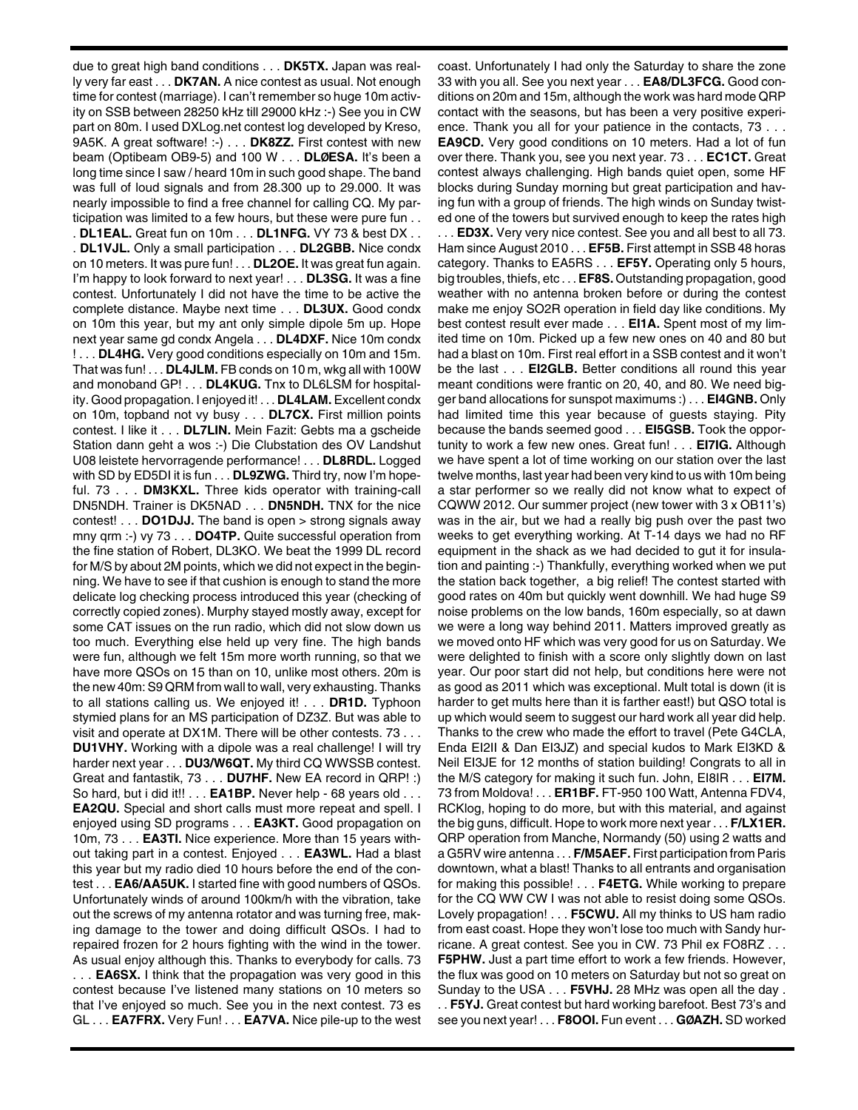due to great high band conditions . . . **DK5TX.** Japan was really very far east . . . **DK7AN.** A nice contest as usual. Not enough time for contest (marriage). I can't remember so huge 10m activity on SSB between 28250 kHz till 29000 kHz :-) See you in CW part on 80m. I used DXLog.net contest log developed by Kreso, 9A5K. A great software! :-) . . . **DK8ZZ.** First contest with new beam (Optibeam OB9-5) and 100 W . . . **DLØESA.** It's been a long time since I saw / heard 10m in such good shape. The band was full of loud signals and from 28.300 up to 29.000. It was nearly impossible to find a free channel for calling CQ. My participation was limited to a few hours, but these were pure fun . . . **DL1EAL.** Great fun on 10m . . . **DL1NFG.** VY 73 & best DX . . . **DL1VJL.** Only a small participation . . . **DL2GBB.** Nice condx on 10 meters. It was pure fun! . . . **DL2OE.** It was great fun again. I'm happy to look forward to next year! . . . **DL3SG.** It was a fine contest. Unfortunately I did not have the time to be active the complete distance. Maybe next time . . . **DL3UX.** Good condx on 10m this year, but my ant only simple dipole 5m up. Hope next year same gd condx Angela . . . **DL4DXF.** Nice 10m condx ! . . . **DL4HG.** Very good conditions especially on 10m and 15m. That was fun! . . . **DL4JLM.** FB conds on 10 m, wkg all with 100W and monoband GP! . . . **DL4KUG.** Tnx to DL6LSM for hospitality. Good propagation. I enjoyed it! . . . **DL4LAM.** Excellent condx on 10m, topband not vy busy . . . **DL7CX.** First million points contest. I like it . . . **DL7LIN.** Mein Fazit: Gebts ma a gscheide Station dann geht a wos :-) Die Clubstation des OV Landshut U08 leistete hervorragende performance! . . . **DL8RDL.** Logged with SD by ED5DI it is fun . . . **DL9ZWG.** Third try, now I'm hopeful. 73 . . . **DM3KXL.** Three kids operator with training-call DN5NDH. Trainer is DK5NAD . . . **DN5NDH.** TNX for the nice contest! . . . **DO1DJJ.** The band is open > strong signals away mny qrm :-) vy 73 . . . **DO4TP.** Quite successful operation from the fine station of Robert, DL3KO. We beat the 1999 DL record for M/S by about 2M points, which we did not expect in the beginning. We have to see if that cushion is enough to stand the more delicate log checking process introduced this year (checking of correctly copied zones). Murphy stayed mostly away, except for some CAT issues on the run radio, which did not slow down us too much. Everything else held up very fine. The high bands were fun, although we felt 15m more worth running, so that we have more QSOs on 15 than on 10, unlike most others. 20m is the new 40m: S9 QRM from wall to wall, very exhausting. Thanks to all stations calling us. We enjoyed it! . . . **DR1D.** Typhoon stymied plans for an MS participation of DZ3Z. But was able to visit and operate at DX1M. There will be other contests. 73 . . . **DU1VHY.** Working with a dipole was a real challenge! I will try harder next year . . . **DU3/W6QT.** My third CQ WWSSB contest. Great and fantastik, 73 . . . **DU7HF.** New EA record in QRP! :) So hard, but i did it!! . . . **EA1BP.** Never help - 68 years old . . . **EA2QU.** Special and short calls must more repeat and spell. I enjoyed using SD programs . . . **EA3KT.** Good propagation on 10m, 73 . . . **EA3TI.** Nice experience. More than 15 years without taking part in a contest. Enjoyed . . . **EA3WL.** Had a blast this year but my radio died 10 hours before the end of the contest . . . **EA6/AA5UK.** I started fine with good numbers of QSOs. Unfortunately winds of around 100km/h with the vibration, take out the screws of my antenna rotator and was turning free, making damage to the tower and doing difficult QSOs. I had to repaired frozen for 2 hours fighting with the wind in the tower. As usual enjoy although this. Thanks to everybody for calls. 73 . . . **EA6SX.** I think that the propagation was very good in this contest because I've listened many stations on 10 meters so that I've enjoyed so much. See you in the next contest. 73 es GL . . . **EA7FRX.** Very Fun! . . . **EA7VA.** Nice pile-up to the west coast. Unfortunately I had only the Saturday to share the zone 33 with you all. See you next year . . . **EA8/DL3FCG.** Good conditions on 20m and 15m, although the work was hard mode QRP contact with the seasons, but has been a very positive experience. Thank you all for your patience in the contacts, 73 . . . **EA9CD.** Very good conditions on 10 meters. Had a lot of fun over there. Thank you, see you next year. 73 . . . **EC1CT.** Great contest always challenging. High bands quiet open, some HF blocks during Sunday morning but great participation and having fun with a group of friends. The high winds on Sunday twisted one of the towers but survived enough to keep the rates high . . . **ED3X.** Very very nice contest. See you and all best to all 73. Ham since August 2010 . . . **EF5B.** First attempt in SSB 48 horas category. Thanks to EA5RS . . . **EF5Y.** Operating only 5 hours, big troubles, thiefs, etc . . . **EF8S.** Outstanding propagation, good weather with no antenna broken before or during the contest make me enjoy SO2R operation in field day like conditions. My best contest result ever made . . . **EI1A.** Spent most of my limited time on 10m. Picked up a few new ones on 40 and 80 but had a blast on 10m. First real effort in a SSB contest and it won't be the last . . . **EI2GLB.** Better conditions all round this year meant conditions were frantic on 20, 40, and 80. We need bigger band allocations for sunspot maximums :) . . . **EI4GNB.** Only had limited time this year because of guests staying. Pity because the bands seemed good . . . **EI5GSB.** Took the opportunity to work a few new ones. Great fun! . . . **EI7IG.** Although we have spent a lot of time working on our station over the last twelve months, last year had been very kind to us with 10m being a star performer so we really did not know what to expect of CQWW 2012. Our summer project (new tower with 3 x OB11's) was in the air, but we had a really big push over the past two weeks to get everything working. At T-14 days we had no RF equipment in the shack as we had decided to gut it for insulation and painting :-) Thankfully, everything worked when we put the station back together, a big relief! The contest started with good rates on 40m but quickly went downhill. We had huge S9 noise problems on the low bands, 160m especially, so at dawn we were a long way behind 2011. Matters improved greatly as we moved onto HF which was very good for us on Saturday. We were delighted to finish with a score only slightly down on last year. Our poor start did not help, but conditions here were not as good as 2011 which was exceptional. Mult total is down (it is harder to get mults here than it is farther east!) but QSO total is up which would seem to suggest our hard work all year did help. Thanks to the crew who made the effort to travel (Pete G4CLA, Enda EI2II & Dan EI3JZ) and special kudos to Mark EI3KD & Neil EI3JE for 12 months of station building! Congrats to all in the M/S category for making it such fun. John, EI8IR . . . **EI7M.** 73 from Moldova! . . . **ER1BF.** FT-950 100 Watt, Antenna FDV4, RCKlog, hoping to do more, but with this material, and against the big guns, difficult. Hope to work more next year . . . **F/LX1ER.** QRP operation from Manche, Normandy (50) using 2 watts and a G5RV wire antenna . . . **F/M5AEF.** First participation from Paris downtown, what a blast! Thanks to all entrants and organisation for making this possible! . . . **F4ETG.** While working to prepare for the CQ WW CW I was not able to resist doing some QSOs.

from east coast. Hope they won't lose too much with Sandy hurricane. A great contest. See you in CW. 73 Phil ex FO8RZ . . . **F5PHW.** Just a part time effort to work a few friends. However, the flux was good on 10 meters on Saturday but not so great on Sunday to the USA . . . **F5VHJ.** 28 MHz was open all the day . . . **F5YJ.** Great contest but hard working barefoot. Best 73's and see you next year! . . . **F8OOI.** Fun event . . . **GØAZH.** SD worked

Lovely propagation! . . . **F5CWU.** All my thinks to US ham radio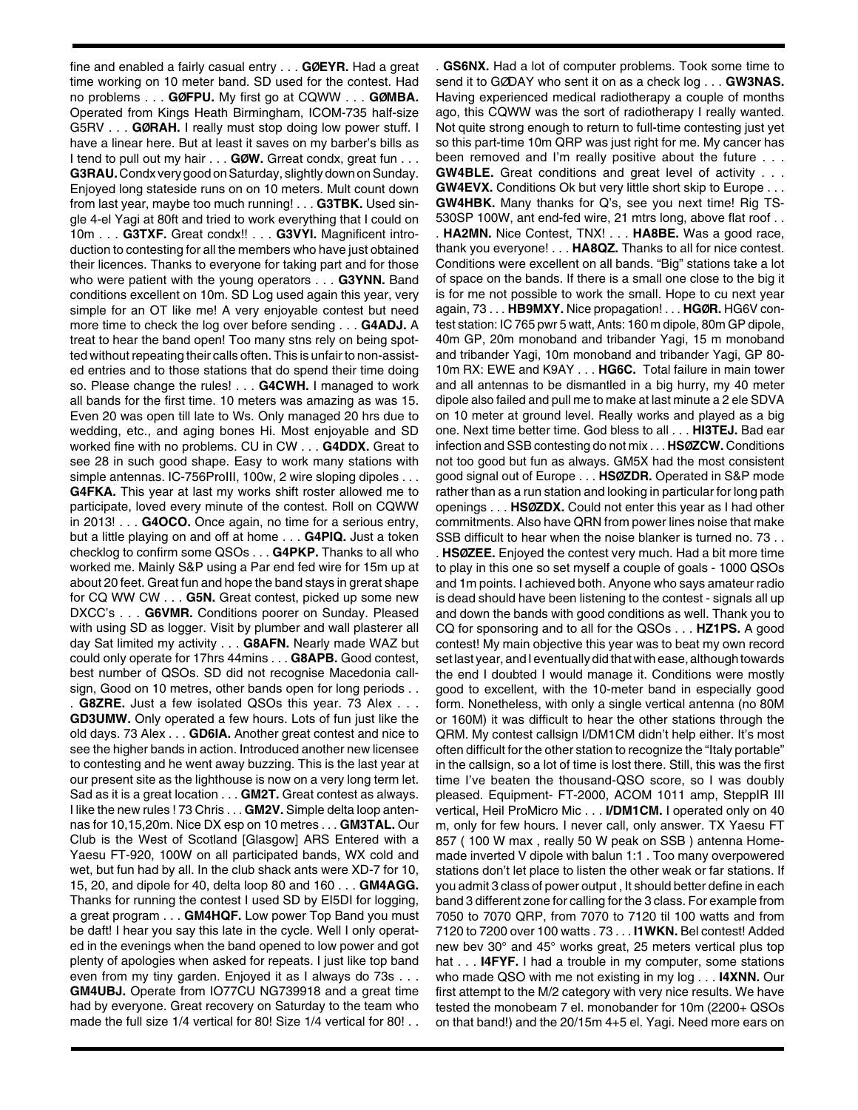fine and enabled a fairly casual entry . . . **GØEYR.** Had a great time working on 10 meter band. SD used for the contest. Had no problems . . . **GØFPU.** My first go at CQWW . . . **GØMBA.** Operated from Kings Heath Birmingham, ICOM-735 half-size G5RV . . . **GØRAH.** I really must stop doing low power stuff. I have a linear here. But at least it saves on my barber's bills as I tend to pull out my hair . . . **GØW.** Grreat condx, great fun . . . **G3RAU.**Condx very good on Saturday, slightly down on Sunday. Enjoyed long stateside runs on on 10 meters. Mult count down from last year, maybe too much running! . . . **G3TBK.** Used single 4-el Yagi at 80ft and tried to work everything that I could on 10m . . . **G3TXF.** Great condx!! . . . **G3VYI.** Magnificent introduction to contesting for all the members who have just obtained their licences. Thanks to everyone for taking part and for those who were patient with the young operators . . . **G3YNN.** Band conditions excellent on 10m. SD Log used again this year, very simple for an OT like me! A very enjoyable contest but need more time to check the log over before sending . . . **G4ADJ.** A treat to hear the band open! Too many stns rely on being spotted without repeating their calls often. This is unfair to non-assisted entries and to those stations that do spend their time doing so. Please change the rules! . . . **G4CWH.** I managed to work all bands for the first time. 10 meters was amazing as was 15. Even 20 was open till late to Ws. Only managed 20 hrs due to wedding, etc., and aging bones Hi. Most enjoyable and SD worked fine with no problems. CU in CW . . . **G4DDX.** Great to see 28 in such good shape. Easy to work many stations with simple antennas. IC-756ProIII, 100w, 2 wire sloping dipoles . . . **G4FKA.** This year at last my works shift roster allowed me to participate, loved every minute of the contest. Roll on CQWW in 2013! . . . **G4OCO.** Once again, no time for a serious entry, but a little playing on and off at home . . . **G4PIQ.** Just a token checklog to confirm some QSOs . . . **G4PKP.** Thanks to all who worked me. Mainly S&P using a Par end fed wire for 15m up at about 20 feet. Great fun and hope the band stays in grerat shape for CQ WW CW . . . **G5N.** Great contest, picked up some new DXCC's . . . **G6VMR.** Conditions poorer on Sunday. Pleased with using SD as logger. Visit by plumber and wall plasterer all day Sat limited my activity . . . **G8AFN.** Nearly made WAZ but could only operate for 17hrs 44mins . . . **G8APB.** Good contest, best number of QSOs. SD did not recognise Macedonia callsign, Good on 10 metres, other bands open for long periods . .

. **G8ZRE.** Just a few isolated QSOs this year. 73 Alex . . . **GD3UMW.** Only operated a few hours. Lots of fun just like the old days. 73 Alex . . . **GD6IA.** Another great contest and nice to see the higher bands in action. Introduced another new licensee to contesting and he went away buzzing. This is the last year at our present site as the lighthouse is now on a very long term let. Sad as it is a great location . . . **GM2T.** Great contest as always. I like the new rules ! 73 Chris . . . **GM2V.** Simple delta loop antennas for 10,15,20m. Nice DX esp on 10 metres . . . **GM3TAL.** Our Club is the West of Scotland [Glasgow] ARS Entered with a Yaesu FT-920, 100W on all participated bands, WX cold and wet, but fun had by all. In the club shack ants were XD-7 for 10, 15, 20, and dipole for 40, delta loop 80 and 160 . . . **GM4AGG.** Thanks for running the contest I used SD by EI5DI for logging, a great program . . . **GM4HQF.** Low power Top Band you must be daft! I hear you say this late in the cycle. Well I only operated in the evenings when the band opened to low power and got plenty of apologies when asked for repeats. I just like top band even from my tiny garden. Enjoyed it as I always do 73s . . . **GM4UBJ.** Operate from IO77CU NG739918 and a great time had by everyone. Great recovery on Saturday to the team who made the full size 1/4 vertical for 80! Size 1/4 vertical for 80! . .

. **GS6NX.** Had a lot of computer problems. Took some time to send it to GØDAY who sent it on as a check log . . . **GW3NAS.** Having experienced medical radiotherapy a couple of months ago, this CQWW was the sort of radiotherapy I really wanted. Not quite strong enough to return to full-time contesting just yet so this part-time 10m QRP was just right for me. My cancer has been removed and I'm really positive about the future . . . **GW4BLE.** Great conditions and great level of activity . . . **GW4EVX.** Conditions Ok but very little short skip to Europe . . . **GW4HBK.** Many thanks for Q's, see you next time! Rig TS-530SP 100W, ant end-fed wire, 21 mtrs long, above flat roof . . . **HA2MN.** Nice Contest, TNX! . . . **HA8BE.** Was a good race, thank you everyone! . . . **HA8QZ.** Thanks to all for nice contest. Conditions were excellent on all bands. "Big" stations take a lot of space on the bands. If there is a small one close to the big it is for me not possible to work the small. Hope to cu next year again, 73 . . . **HB9MXY.** Nice propagation! . . . **HGØR.** HG6V contest station: IC 765 pwr 5 watt, Ants: 160 m dipole, 80m GP dipole, 40m GP, 20m monoband and tribander Yagi, 15 m monoband and tribander Yagi, 10m monoband and tribander Yagi, GP 80- 10m RX: EWE and K9AY . . . **HG6C.** Total failure in main tower and all antennas to be dismantled in a big hurry, my 40 meter dipole also failed and pull me to make at last minute a 2 ele SDVA on 10 meter at ground level. Really works and played as a big one. Next time better time. God bless to all . . . **HI3TEJ.** Bad ear infection and SSB contesting do not mix . . . **HSØZCW.** Conditions not too good but fun as always. GM5X had the most consistent good signal out of Europe . . . **HSØZDR.** Operated in S&P mode rather than as a run station and looking in particular for long path openings . . . **HSØZDX.** Could not enter this year as I had other commitments. Also have QRN from power lines noise that make SSB difficult to hear when the noise blanker is turned no. 73 . .

. **HSØZEE.** Enjoyed the contest very much. Had a bit more time to play in this one so set myself a couple of goals - 1000 QSOs and 1m points. I achieved both. Anyone who says amateur radio is dead should have been listening to the contest - signals all up and down the bands with good conditions as well. Thank you to CQ for sponsoring and to all for the QSOs . . . **HZ1PS.** A good contest! My main objective this year was to beat my own record set last year, and I eventually did that with ease, although towards the end I doubted I would manage it. Conditions were mostly good to excellent, with the 10-meter band in especially good form. Nonetheless, with only a single vertical antenna (no 80M or 160M) it was difficult to hear the other stations through the QRM. My contest callsign I/DM1CM didn't help either. It's most often difficult for the other station to recognize the "Italy portable" in the callsign, so a lot of time is lost there. Still, this was the first time I've beaten the thousand-QSO score, so I was doubly pleased. Equipment- FT-2000, ACOM 1011 amp, SteppIR III vertical, Heil ProMicro Mic . . . **I/DM1CM.** I operated only on 40 m, only for few hours. I never call, only answer. TX Yaesu FT 857 ( 100 W max , really 50 W peak on SSB ) antenna Homemade inverted V dipole with balun 1:1 . Too many overpowered stations don't let place to listen the other weak or far stations. If you admit 3 class of power output , It should better define in each band 3 different zone for calling for the 3 class. For example from 7050 to 7070 QRP, from 7070 to 7120 til 100 watts and from 7120 to 7200 over 100 watts . 73 . . . **I1WKN.** Bel contest! Added new bev 30° and 45° works great, 25 meters vertical plus top hat . . . **I4FYF.** I had a trouble in my computer, some stations who made QSO with me not existing in my log . . . **I4XNN.** Our first attempt to the M/2 category with very nice results. We have tested the monobeam 7 el. monobander for 10m (2200+ QSOs on that band!) and the 20/15m 4+5 el. Yagi. Need more ears on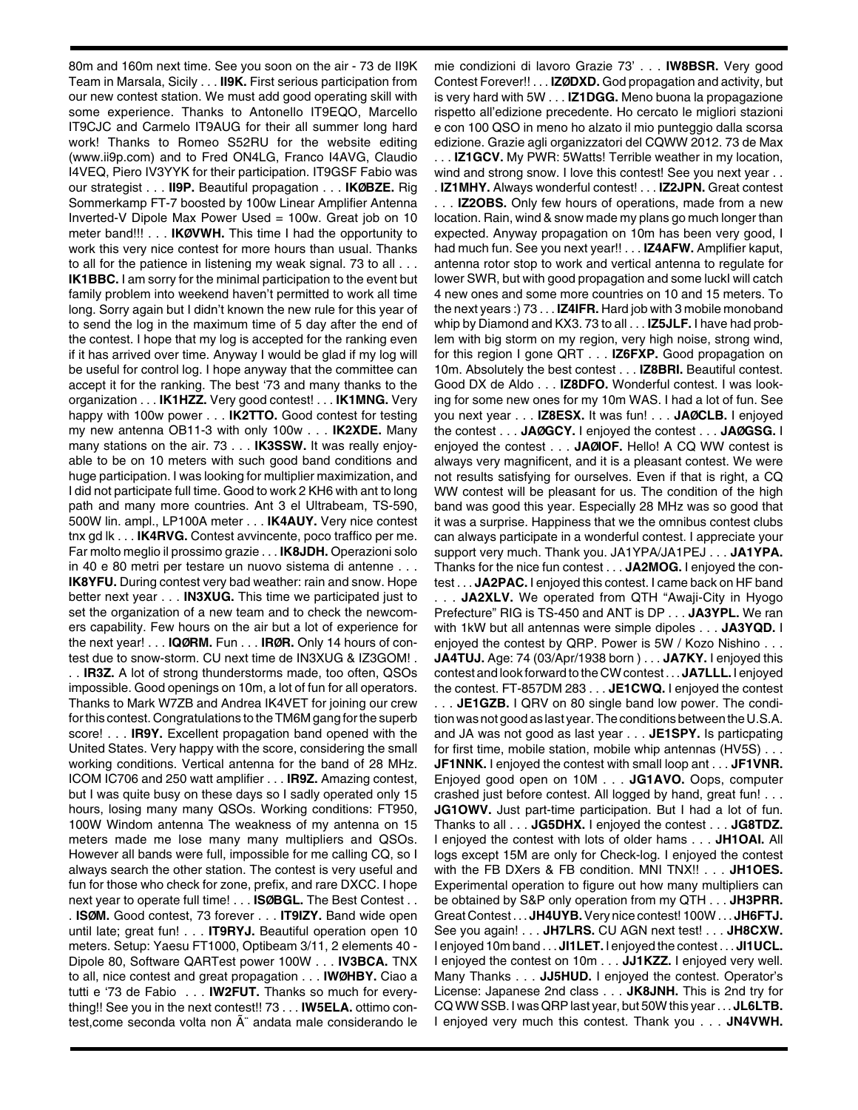80m and 160m next time. See you soon on the air - 73 de II9K Team in Marsala, Sicily . . . **II9K.** First serious participation from our new contest station. We must add good operating skill with some experience. Thanks to Antonello IT9EQO, Marcello IT9CJC and Carmelo IT9AUG for their all summer long hard work! Thanks to Romeo S52RU for the website editing (www.ii9p.com) and to Fred ON4LG, Franco I4AVG, Claudio I4VEQ, Piero IV3YYK for their participation. IT9GSF Fabio was our strategist . . . **II9P.** Beautiful propagation . . . **IKØBZE.** Rig Sommerkamp FT-7 boosted by 100w Linear Amplifier Antenna Inverted-V Dipole Max Power Used = 100w. Great job on 10 meter band!!! . . . **IKØVWH.** This time I had the opportunity to work this very nice contest for more hours than usual. Thanks to all for the patience in listening my weak signal. 73 to all . . . **IK1BBC.** I am sorry for the minimal participation to the event but family problem into weekend haven't permitted to work all time long. Sorry again but I didn't known the new rule for this year of to send the log in the maximum time of 5 day after the end of the contest. I hope that my log is accepted for the ranking even if it has arrived over time. Anyway I would be glad if my log will be useful for control log. I hope anyway that the committee can accept it for the ranking. The best '73 and many thanks to the organization . . . **IK1HZZ.** Very good contest! . . . **IK1MNG.** Very happy with 100w power . . . **IK2TTO.** Good contest for testing my new antenna OB11-3 with only 100w . . . **IK2XDE.** Many many stations on the air. 73 . . . **IK3SSW.** It was really enjoyable to be on 10 meters with such good band conditions and huge participation. I was looking for multiplier maximization, and I did not participate full time. Good to work 2 KH6 with ant to long path and many more countries. Ant 3 el Ultrabeam, TS-590, 500W lin. ampl., LP100A meter . . . **IK4AUY.** Very nice contest tnx gd lk . . . **IK4RVG.** Contest avvincente, poco traffico per me. Far molto meglio il prossimo grazie . . . **IK8JDH.** Operazioni solo in 40 e 80 metri per testare un nuovo sistema di antenne . . . **IK8YFU.** During contest very bad weather: rain and snow. Hope better next year . . . **IN3XUG.** This time we participated just to set the organization of a new team and to check the newcomers capability. Few hours on the air but a lot of experience for the next year! . . . **IQØRM.** Fun . . . **IRØR.** Only 14 hours of contest due to snow-storm. CU next time de IN3XUG & IZ3GOM! . . . **IR3Z.** A lot of strong thunderstorms made, too often, QSOs impossible. Good openings on 10m, a lot of fun for all operators. Thanks to Mark W7ZB and Andrea IK4VET for joining our crew for this contest. Congratulations to the TM6M gang for the superb score! . . . **IR9Y.** Excellent propagation band opened with the United States. Very happy with the score, considering the small working conditions. Vertical antenna for the band of 28 MHz. ICOM IC706 and 250 watt amplifier . . . **IR9Z.** Amazing contest, but I was quite busy on these days so I sadly operated only 15 hours, losing many many QSOs. Working conditions: FT950, 100W Windom antenna The weakness of my antenna on 15 meters made me lose many many multipliers and QSOs. However all bands were full, impossible for me calling CQ, so I always search the other station. The contest is very useful and fun for those who check for zone, prefix, and rare DXCC. I hope next year to operate full time! . . . **ISØBGL.** The Best Contest . . . **ISØM.** Good contest, 73 forever . . . **IT9IZY.** Band wide open until late; great fun! . . . **IT9RYJ.** Beautiful operation open 10 meters. Setup: Yaesu FT1000, Optibeam 3/11, 2 elements 40 - Dipole 80, Software QARTest power 100W . . . **IV3BCA.** TNX to all, nice contest and great propagation . . . **IWØHBY.** Ciao a tutti e '73 de Fabio . . . **IW2FUT.** Thanks so much for everything!! See you in the next contest!! 73 . . . **IW5ELA.** ottimo contest, come seconda volta non Â" andata male considerando le

mie condizioni di lavoro Grazie 73' . . . **IW8BSR.** Very good Contest Forever!! . . . **IZØDXD.** God propagation and activity, but is very hard with 5W . . . **IZ1DGG.** Meno buona la propagazione rispetto all'edizione precedente. Ho cercato le migliori stazioni e con 100 QSO in meno ho alzato il mio punteggio dalla scorsa edizione. Grazie agli organizzatori del CQWW 2012. 73 de Max

. . . **IZ1GCV.** My PWR: 5Watts! Terrible weather in my location, wind and strong snow. I love this contest! See you next year . . . **IZ1MHY.** Always wonderful contest! . . . **IZ2JPN.** Great contest . . . **IZ2OBS.** Only few hours of operations, made from a new location. Rain, wind & snow made my plans go much longer than expected. Anyway propagation on 10m has been very good, I had much fun. See you next year!! . . . **IZ4AFW.** Amplifier kaput, antenna rotor stop to work and vertical antenna to regulate for lower SWR, but with good propagation and some luckI will catch 4 new ones and some more countries on 10 and 15 meters. To the next years :) 73 . . . **IZ4IFR.** Hard job with 3 mobile monoband whip by Diamond and KX3. 73 to all . . . **IZ5JLF.** I have had problem with big storm on my region, very high noise, strong wind, for this region I gone QRT . . . **IZ6FXP.** Good propagation on 10m. Absolutely the best contest . . . **IZ8BRI.** Beautiful contest. Good DX de Aldo . . . **IZ8DFO.** Wonderful contest. I was looking for some new ones for my 10m WAS. I had a lot of fun. See you next year . . . **IZ8ESX.** It was fun! . . . **JAØCLB.** I enjoyed the contest . . . **JAØGCY.** I enjoyed the contest . . . **JAØGSG.** I enjoyed the contest . . . **JAØIOF.** Hello! A CQ WW contest is always very magnificent, and it is a pleasant contest. We were not results satisfying for ourselves. Even if that is right, a CQ WW contest will be pleasant for us. The condition of the high band was good this year. Especially 28 MHz was so good that it was a surprise. Happiness that we the omnibus contest clubs can always participate in a wonderful contest. I appreciate your support very much. Thank you. JA1YPA/JA1PEJ . . . **JA1YPA.** Thanks for the nice fun contest . . . **JA2MOG.** I enjoyed the contest . . . **JA2PAC.** I enjoyed this contest. I came back on HF band

. . . **JA2XLV.** We operated from QTH "Awaji-City in Hyogo Prefecture" RIG is TS-450 and ANT is DP . . . **JA3YPL.** We ran with 1kW but all antennas were simple dipoles . . . **JA3YQD.** I enjoyed the contest by QRP. Power is 5W / Kozo Nishino . . . **JA4TUJ.** Age: 74 (03/Apr/1938 born ) . . . **JA7KY.** I enjoyed this contest and look forward to the CW contest . . . **JA7LLL.** I enjoyed the contest. FT-857DM 283 . . . **JE1CWQ.** I enjoyed the contest

. . . **JE1GZB.** I QRV on 80 single band low power. The condition was not good as last year. The conditions between the U.S.A. and JA was not good as last year . . . **JE1SPY.** Is particpating for first time, mobile station, mobile whip antennas (HV5S) . . . **JF1NNK.** I enjoyed the contest with small loop ant . . . **JF1VNR.** Enjoyed good open on 10M . . . **JG1AVO.** Oops, computer crashed just before contest. All logged by hand, great fun! . . . **JG1OWV.** Just part-time participation. But I had a lot of fun. Thanks to all . . . **JG5DHX.** I enjoyed the contest . . . **JG8TDZ.** I enjoyed the contest with lots of older hams . . . **JH1OAI.** All logs except 15M are only for Check-log. I enjoyed the contest with the FB DXers & FB condition. MNI TNX!! . . . **JH1OES.** Experimental operation to figure out how many multipliers can be obtained by S&P only operation from my QTH . . . **JH3PRR.** Great Contest . . . **JH4UYB.**Very nice contest! 100W . . . **JH6FTJ.** See you again! . . . **JH7LRS.** CU AGN next test! . . . **JH8CXW.** I enjoyed 10m band . . . **JI1LET.** I enjoyed the contest . . . **JI1UCL.** I enjoyed the contest on 10m . . . **JJ1KZZ.** I enjoyed very well. Many Thanks . . . **JJ5HUD.** I enjoyed the contest. Operator's License: Japanese 2nd class . . . **JK8JNH.** This is 2nd try for CQ WW SSB. I was QRP last year, but 50W this year . . . **JL6LTB.** I enjoyed very much this contest. Thank you . . . **JN4VWH.**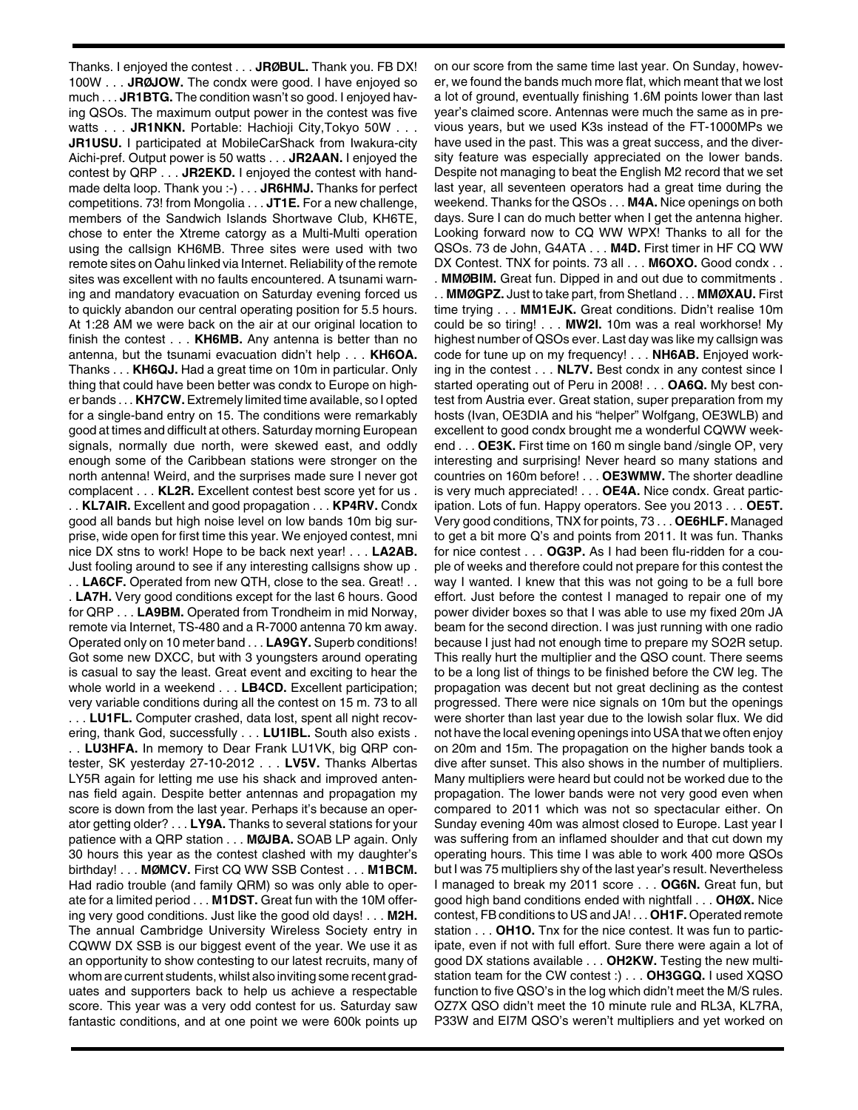Thanks. I enjoyed the contest . . . **JRØBUL.** Thank you. FB DX! 100W . . . **JRØJOW.** The condx were good. I have enjoyed so much . . . **JR1BTG.** The condition wasn't so good. I enjoyed having QSOs. The maximum output power in the contest was five watts . . . **JR1NKN.** Portable: Hachioji City,Tokyo 50W . . . **JR1USU.** I participated at MobileCarShack from Iwakura-city Aichi-pref. Output power is 50 watts . . . **JR2AAN.** I enjoyed the contest by QRP . . . **JR2EKD.** I enjoyed the contest with handmade delta loop. Thank you :-) . . . **JR6HMJ.** Thanks for perfect competitions. 73! from Mongolia . . . **JT1E.** For a new challenge, members of the Sandwich Islands Shortwave Club, KH6TE, chose to enter the Xtreme catorgy as a Multi-Multi operation using the callsign KH6MB. Three sites were used with two remote sites on Oahu linked via Internet. Reliability of the remote sites was excellent with no faults encountered. A tsunami warning and mandatory evacuation on Saturday evening forced us to quickly abandon our central operating position for 5.5 hours. At 1:28 AM we were back on the air at our original location to finish the contest . . . **KH6MB.** Any antenna is better than no antenna, but the tsunami evacuation didn't help . . . **KH6OA.** Thanks . . . **KH6QJ.** Had a great time on 10m in particular. Only thing that could have been better was condx to Europe on higher bands . . . **KH7CW.**Extremely limited time available, so I opted for a single-band entry on 15. The conditions were remarkably good at times and difficult at others. Saturday morning European signals, normally due north, were skewed east, and oddly enough some of the Caribbean stations were stronger on the north antenna! Weird, and the surprises made sure I never got complacent . . . **KL2R.** Excellent contest best score yet for us . . . **KL7AIR.** Excellent and good propagation . . . **KP4RV.** Condx good all bands but high noise level on low bands 10m big surprise, wide open for first time this year. We enjoyed contest, mni nice DX stns to work! Hope to be back next year! . . . **LA2AB.** Just fooling around to see if any interesting callsigns show up . . . **LA6CF.** Operated from new QTH, close to the sea. Great! . . . **LA7H.** Very good conditions except for the last 6 hours. Good for QRP . . . **LA9BM.** Operated from Trondheim in mid Norway, remote via Internet, TS-480 and a R-7000 antenna 70 km away. Operated only on 10 meter band . . . **LA9GY.** Superb conditions! Got some new DXCC, but with 3 youngsters around operating is casual to say the least. Great event and exciting to hear the whole world in a weekend . . . **LB4CD.** Excellent participation; very variable conditions during all the contest on 15 m. 73 to all . . . **LU1FL.** Computer crashed, data lost, spent all night recovering, thank God, successfully . . . **LU1IBL.** South also exists . . . **LU3HFA.** In memory to Dear Frank LU1VK, big QRP contester, SK yesterday 27-10-2012 . . . **LV5V.** Thanks Albertas LY5R again for letting me use his shack and improved antennas field again. Despite better antennas and propagation my score is down from the last year. Perhaps it's because an operator getting older? . . . **LY9A.** Thanks to several stations for your patience with a QRP station . . . **MØJBA.** SOAB LP again. Only 30 hours this year as the contest clashed with my daughter's birthday! . . . **MØMCV.** First CQ WW SSB Contest . . . **M1BCM.** Had radio trouble (and family QRM) so was only able to operate for a limited period . . . **M1DST.** Great fun with the 10M offering very good conditions. Just like the good old days! . . . **M2H.** The annual Cambridge University Wireless Society entry in CQWW DX SSB is our biggest event of the year. We use it as an opportunity to show contesting to our latest recruits, many of whom are current students, whilst also inviting some recent graduates and supporters back to help us achieve a respectable score. This year was a very odd contest for us. Saturday saw fantastic conditions, and at one point we were 600k points up

on our score from the same time last year. On Sunday, however, we found the bands much more flat, which meant that we lost a lot of ground, eventually finishing 1.6M points lower than last year's claimed score. Antennas were much the same as in previous years, but we used K3s instead of the FT-1000MPs we have used in the past. This was a great success, and the diversity feature was especially appreciated on the lower bands. Despite not managing to beat the English M2 record that we set last year, all seventeen operators had a great time during the weekend. Thanks for the QSOs . . . **M4A.** Nice openings on both days. Sure I can do much better when I get the antenna higher. Looking forward now to CQ WW WPX! Thanks to all for the QSOs. 73 de John, G4ATA . . . **M4D.** First timer in HF CQ WW DX Contest. TNX for points. 73 all . . . **M6OXO.** Good condx . . . **MMØBIM.** Great fun. Dipped in and out due to commitments . . . **MMØGPZ.** Just to take part, from Shetland . . . **MMØXAU.** First time trying . . . **MM1EJK.** Great conditions. Didn't realise 10m could be so tiring! . . . **MW2I.** 10m was a real workhorse! My highest number of QSOs ever. Last day was like my callsign was code for tune up on my frequency! . . . **NH6AB.** Enjoyed working in the contest . . . **NL7V.** Best condx in any contest since I started operating out of Peru in 2008! . . . **OA6Q.** My best contest from Austria ever. Great station, super preparation from my hosts (Ivan, OE3DIA and his "helper" Wolfgang, OE3WLB) and excellent to good condx brought me a wonderful CQWW weekend . . . **OE3K.** First time on 160 m single band /single OP, very interesting and surprising! Never heard so many stations and countries on 160m before! . . . **OE3WMW.** The shorter deadline is very much appreciated! . . . **OE4A.** Nice condx. Great participation. Lots of fun. Happy operators. See you 2013 . . . **OE5T.** Very good conditions, TNX for points, 73 . . . **OE6HLF.** Managed to get a bit more Q's and points from 2011. It was fun. Thanks for nice contest . . . **OG3P.** As I had been flu-ridden for a couple of weeks and therefore could not prepare for this contest the way I wanted. I knew that this was not going to be a full bore effort. Just before the contest I managed to repair one of my power divider boxes so that I was able to use my fixed 20m JA beam for the second direction. I was just running with one radio because I just had not enough time to prepare my SO2R setup. This really hurt the multiplier and the QSO count. There seems to be a long list of things to be finished before the CW leg. The propagation was decent but not great declining as the contest progressed. There were nice signals on 10m but the openings were shorter than last year due to the lowish solar flux. We did not have the local evening openings into USA that we often enjoy on 20m and 15m. The propagation on the higher bands took a dive after sunset. This also shows in the number of multipliers. Many multipliers were heard but could not be worked due to the propagation. The lower bands were not very good even when compared to 2011 which was not so spectacular either. On Sunday evening 40m was almost closed to Europe. Last year I was suffering from an inflamed shoulder and that cut down my operating hours. This time I was able to work 400 more QSOs but I was 75 multipliers shy of the last year's result. Nevertheless I managed to break my 2011 score . . . **OG6N.** Great fun, but good high band conditions ended with nightfall . . . **OHØX.** Nice contest, FB conditions to US and JA! . . . **OH1F.** Operated remote station . . . **OH1O.** Tnx for the nice contest. It was fun to participate, even if not with full effort. Sure there were again a lot of good DX stations available . . . **OH2KW.** Testing the new multistation team for the CW contest :) . . . **OH3GGQ.** I used XQSO function to five QSO's in the log which didn't meet the M/S rules. OZ7X QSO didn't meet the 10 minute rule and RL3A, KL7RA, P33W and EI7M QSO's weren't multipliers and yet worked on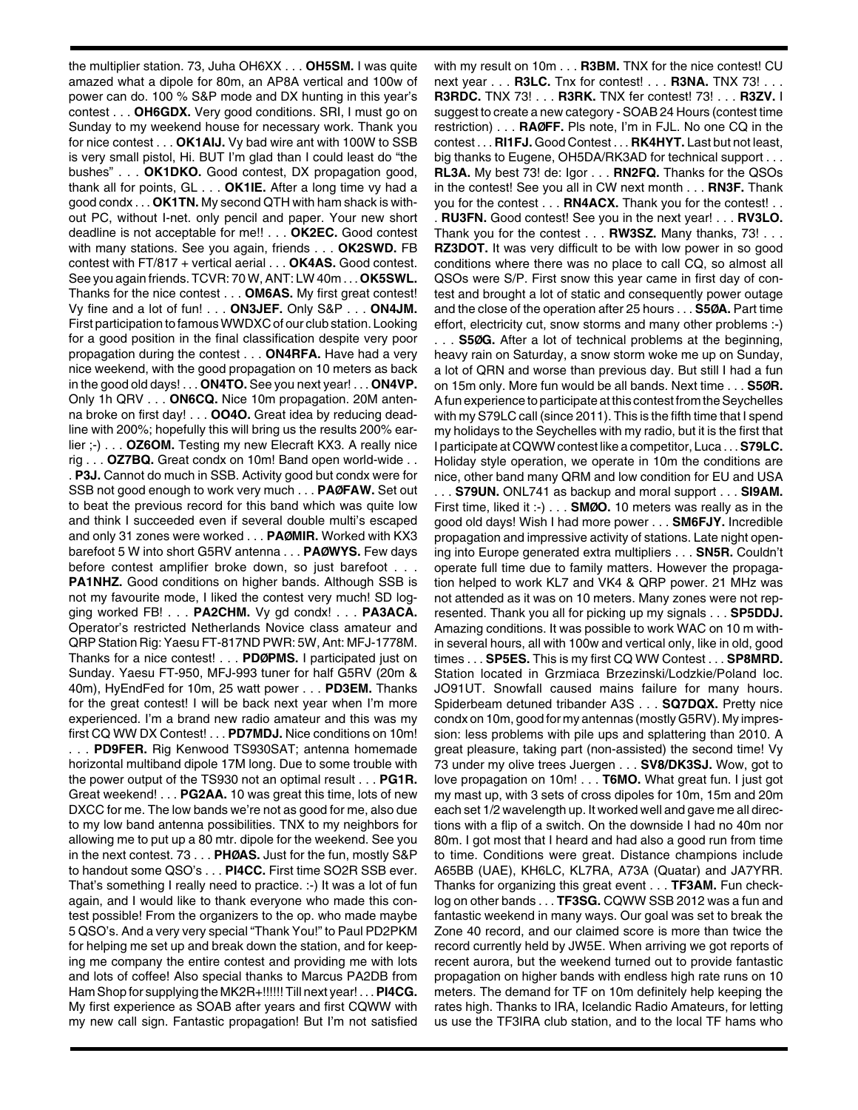the multiplier station. 73, Juha OH6XX . . . **OH5SM.** I was quite amazed what a dipole for 80m, an AP8A vertical and 100w of power can do. 100 % S&P mode and DX hunting in this year's contest . . . **OH6GDX.** Very good conditions. SRI, I must go on Sunday to my weekend house for necessary work. Thank you for nice contest . . . **OK1AIJ.** Vy bad wire ant with 100W to SSB is very small pistol, Hi. BUT I'm glad than I could least do "the bushes" . . . **OK1DKO.** Good contest, DX propagation good, thank all for points, GL . . . **OK1IE.** After a long time vy had a good condx . . . **OK1TN.** My second QTH with ham shack is without PC, without I-net. only pencil and paper. Your new short deadline is not acceptable for me!! . . . **OK2EC.** Good contest with many stations. See you again, friends . . . **OK2SWD.** FB contest with FT/817 + vertical aerial . . . **OK4AS.** Good contest. See you again friends. TCVR: 70 W, ANT: LW 40m . . . **OK5SWL.** Thanks for the nice contest . . . **OM6AS.** My first great contest! Vy fine and a lot of fun! . . . **ON3JEF.** Only S&P . . . **ON4JM.** First participation to famous WWDXC of our club station. Looking for a good position in the final classification despite very poor propagation during the contest . . . **ON4RFA.** Have had a very nice weekend, with the good propagation on 10 meters as back in the good old days! . . . **ON4TO.** See you next year! . . . **ON4VP.** Only 1h QRV . . . **ON6CQ.** Nice 10m propagation. 20M antenna broke on first day! . . . **OO4O.** Great idea by reducing deadline with 200%; hopefully this will bring us the results 200% earlier ;-) . . . **OZ6OM.** Testing my new Elecraft KX3. A really nice rig . . . **OZ7BQ.** Great condx on 10m! Band open world-wide . . . **P3J.** Cannot do much in SSB. Activity good but condx were for SSB not good enough to work very much . . . **PAØFAW.** Set out to beat the previous record for this band which was quite low and think I succeeded even if several double multi's escaped and only 31 zones were worked . . . **PAØMIR.** Worked with KX3 barefoot 5 W into short G5RV antenna . . . **PAØWYS.** Few days

before contest amplifier broke down, so just barefoot . . . **PA1NHZ.** Good conditions on higher bands. Although SSB is not my favourite mode, I liked the contest very much! SD logging worked FB! . . . **PA2CHM.** Vy gd condx! . . . **PA3ACA.** Operator's restricted Netherlands Novice class amateur and QRP Station Rig: Yaesu FT-817ND PWR: 5W, Ant: MFJ-1778M. Thanks for a nice contest! . . . **PDØPMS.** I participated just on Sunday. Yaesu FT-950, MFJ-993 tuner for half G5RV (20m & 40m), HyEndFed for 10m, 25 watt power . . . **PD3EM.** Thanks for the great contest! I will be back next year when I'm more experienced. I'm a brand new radio amateur and this was my first CQ WW DX Contest! . . . **PD7MDJ.** Nice conditions on 10m!

. . . **PD9FER.** Rig Kenwood TS930SAT; antenna homemade horizontal multiband dipole 17M long. Due to some trouble with the power output of the TS930 not an optimal result . . . **PG1R.** Great weekend! . . . **PG2AA.** 10 was great this time, lots of new DXCC for me. The low bands we're not as good for me, also due to my low band antenna possibilities. TNX to my neighbors for allowing me to put up a 80 mtr. dipole for the weekend. See you in the next contest. 73 . . . **PHØAS.** Just for the fun, mostly S&P to handout some QSO's . . . **PI4CC.** First time SO2R SSB ever. That's something I really need to practice. :-) It was a lot of fun again, and I would like to thank everyone who made this contest possible! From the organizers to the op. who made maybe 5 QSO's. And a very very special "Thank You!" to Paul PD2PKM for helping me set up and break down the station, and for keeping me company the entire contest and providing me with lots and lots of coffee! Also special thanks to Marcus PA2DB from Ham Shop for supplying the MK2R+!!!!!! Till next year! . . . **PI4CG.** My first experience as SOAB after years and first CQWW with my new call sign. Fantastic propagation! But I'm not satisfied

with my result on 10m . . . **R3BM.** TNX for the nice contest! CU next year . . . **R3LC.** Tnx for contest! . . . **R3NA.** TNX 73! . . . **R3RDC.** TNX 73! . . . **R3RK.** TNX fer contest! 73! . . . **R3ZV.** I suggest to create a new category - SOAB 24 Hours (contest time restriction) . . . **RAØFF.** Pls note, I'm in FJL. No one CQ in the contest . . . **RI1FJ.** Good Contest . . . **RK4HYT.** Last but not least, big thanks to Eugene, OH5DA/RK3AD for technical support . . . **RL3A.** My best 73! de: Igor . . . **RN2FQ.** Thanks for the QSOs in the contest! See you all in CW next month . . . **RN3F.** Thank you for the contest . . . **RN4ACX.** Thank you for the contest! . . . **RU3FN.** Good contest! See you in the next year! . . . **RV3LO.** Thank you for the contest . . . **RW3SZ.** Many thanks, 73! . . . **RZ3DOT.** It was very difficult to be with low power in so good conditions where there was no place to call CQ, so almost all QSOs were S/P. First snow this year came in first day of contest and brought a lot of static and consequently power outage and the close of the operation after 25 hours . . . **S5ØA.** Part time effort, electricity cut, snow storms and many other problems :-)

. . . **S5ØG.** After a lot of technical problems at the beginning, heavy rain on Saturday, a snow storm woke me up on Sunday, a lot of QRN and worse than previous day. But still I had a fun on 15m only. More fun would be all bands. Next time . . . **S5ØR.** A fun experience to participate at this contest from the Seychelles with my S79LC call (since 2011). This is the fifth time that I spend my holidays to the Seychelles with my radio, but it is the first that I participate at CQWW contest like a competitor, Luca . . . **S79LC.** Holiday style operation, we operate in 10m the conditions are nice, other band many QRM and low condition for EU and USA . . . **S79UN.** ONL741 as backup and moral support . . . **SI9AM.** First time, liked it :-) . . . **SMØO.** 10 meters was really as in the good old days! Wish I had more power . . . **SM6FJY.** Incredible propagation and impressive activity of stations. Late night opening into Europe generated extra multipliers . . . **SN5R.** Couldn't operate full time due to family matters. However the propagation helped to work KL7 and VK4 & QRP power. 21 MHz was not attended as it was on 10 meters. Many zones were not represented. Thank you all for picking up my signals . . . **SP5DDJ.** Amazing conditions. It was possible to work WAC on 10 m within several hours, all with 100w and vertical only, like in old, good times . . . **SP5ES.** This is my first CQ WW Contest . . . **SP8MRD.** Station located in Grzmiaca Brzezinski/Lodzkie/Poland loc. JO91UT. Snowfall caused mains failure for many hours. Spiderbeam detuned tribander A3S . . . **SQ7DQX.** Pretty nice condx on 10m, good for my antennas (mostly G5RV). My impression: less problems with pile ups and splattering than 2010. A great pleasure, taking part (non-assisted) the second time! Vy 73 under my olive trees Juergen . . . **SV8/DK3SJ.** Wow, got to love propagation on 10m! . . . **T6MO.** What great fun. I just got my mast up, with 3 sets of cross dipoles for 10m, 15m and 20m each set 1/2 wavelength up. It worked well and gave me all directions with a flip of a switch. On the downside I had no 40m nor 80m. I got most that I heard and had also a good run from time to time. Conditions were great. Distance champions include A65BB (UAE), KH6LC, KL7RA, A73A (Quatar) and JA7YRR. Thanks for organizing this great event . . . **TF3AM.** Fun checklog on other bands . . . **TF3SG.** CQWW SSB 2012 was a fun and fantastic weekend in many ways. Our goal was set to break the Zone 40 record, and our claimed score is more than twice the record currently held by JW5E. When arriving we got reports of recent aurora, but the weekend turned out to provide fantastic propagation on higher bands with endless high rate runs on 10 meters. The demand for TF on 10m definitely help keeping the rates high. Thanks to IRA, Icelandic Radio Amateurs, for letting us use the TF3IRA club station, and to the local TF hams who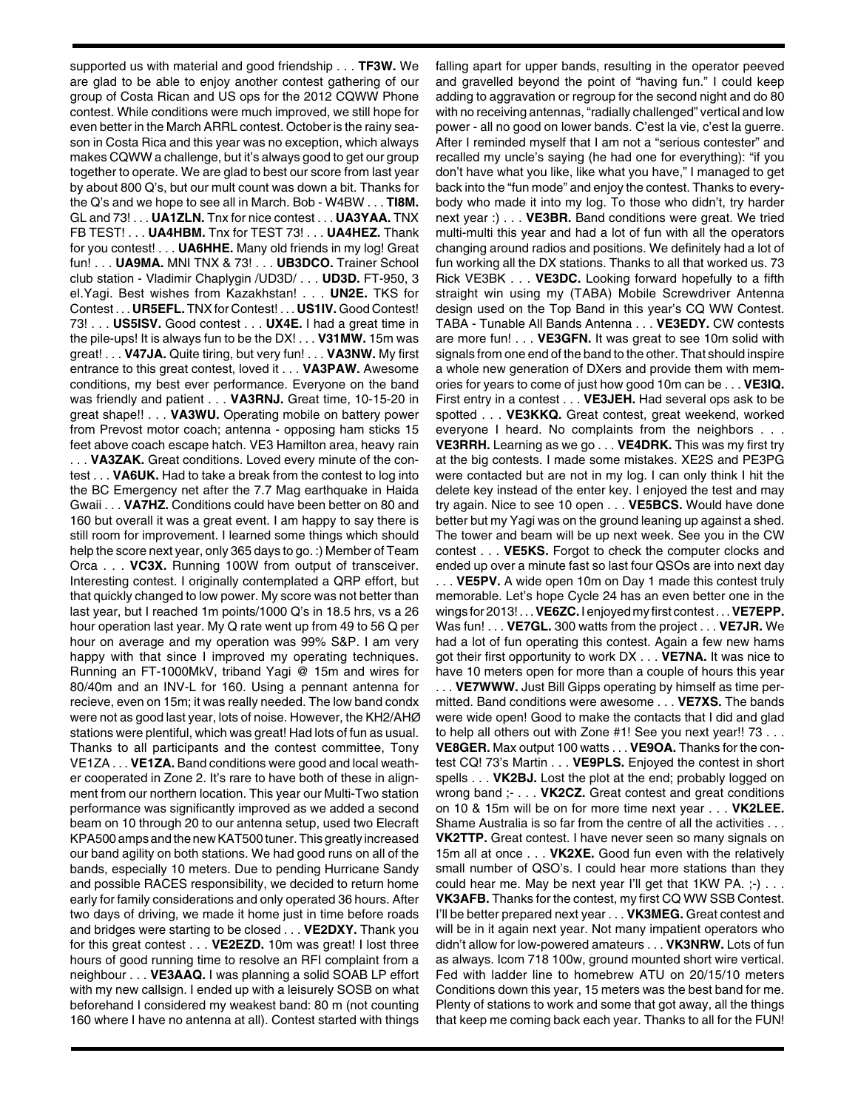supported us with material and good friendship . . . **TF3W.** We are glad to be able to enjoy another contest gathering of our group of Costa Rican and US ops for the 2012 CQWW Phone contest. While conditions were much improved, we still hope for even better in the March ARRL contest. October is the rainy season in Costa Rica and this year was no exception, which always makes CQWW a challenge, but it's always good to get our group together to operate. We are glad to best our score from last year by about 800 Q's, but our mult count was down a bit. Thanks for the Q's and we hope to see all in March. Bob - W4BW . . . **TI8M.** GL and 73! . . . **UA1ZLN.** Tnx for nice contest . . . **UA3YAA.** TNX FB TEST! . . . **UA4HBM.** Tnx for TEST 73! . . . **UA4HEZ.** Thank for you contest! . . . **UA6HHE.** Many old friends in my log! Great fun! . . . **UA9MA.** MNI TNX & 73! . . . **UB3DCO.** Trainer School club station - Vladimir Chaplygin /UD3D/ . . . **UD3D.** FT-950, 3 el.Yagi. Best wishes from Kazakhstan! . . . **UN2E.** TKS for Contest . . . **UR5EFL.** TNX for Contest! . . . **US1IV.** Good Contest! 73! . . . **US5ISV.** Good contest . . . **UX4E.** I had a great time in the pile-ups! It is always fun to be the DX! . . . **V31MW.** 15m was great! . . . **V47JA.** Quite tiring, but very fun! . . . **VA3NW.** My first entrance to this great contest, loved it . . . **VA3PAW.** Awesome conditions, my best ever performance. Everyone on the band was friendly and patient . . . **VA3RNJ.** Great time, 10-15-20 in great shape!! . . . **VA3WU.** Operating mobile on battery power from Prevost motor coach; antenna - opposing ham sticks 15 feet above coach escape hatch. VE3 Hamilton area, heavy rain

. . . **VA3ZAK.** Great conditions. Loved every minute of the contest . . . **VA6UK.** Had to take a break from the contest to log into the BC Emergency net after the 7.7 Mag earthquake in Haida Gwaii . . . **VA7HZ.** Conditions could have been better on 80 and 160 but overall it was a great event. I am happy to say there is still room for improvement. I learned some things which should help the score next year, only 365 days to go. :) Member of Team Orca . . . **VC3X.** Running 100W from output of transceiver. Interesting contest. I originally contemplated a QRP effort, but that quickly changed to low power. My score was not better than last year, but I reached 1m points/1000 Q's in 18.5 hrs, vs a 26 hour operation last year. My Q rate went up from 49 to 56 Q per hour on average and my operation was 99% S&P. I am very happy with that since I improved my operating techniques. Running an FT-1000MkV, triband Yagi @ 15m and wires for 80/40m and an INV-L for 160. Using a pennant antenna for recieve, even on 15m; it was really needed. The low band condx were not as good last year, lots of noise. However, the KH2/AHØ stations were plentiful, which was great! Had lots of fun as usual. Thanks to all participants and the contest committee, Tony VE1ZA . . . **VE1ZA.** Band conditions were good and local weather cooperated in Zone 2. It's rare to have both of these in alignment from our northern location. This year our Multi-Two station performance was significantly improved as we added a second beam on 10 through 20 to our antenna setup, used two Elecraft KPA500 amps and the new KAT500 tuner. This greatly increased our band agility on both stations. We had good runs on all of the bands, especially 10 meters. Due to pending Hurricane Sandy and possible RACES responsibility, we decided to return home early for family considerations and only operated 36 hours. After two days of driving, we made it home just in time before roads and bridges were starting to be closed . . . **VE2DXY.** Thank you for this great contest . . . **VE2EZD.** 10m was great! I lost three hours of good running time to resolve an RFI complaint from a neighbour . . . **VE3AAQ.** I was planning a solid SOAB LP effort with my new callsign. I ended up with a leisurely SOSB on what beforehand I considered my weakest band: 80 m (not counting 160 where I have no antenna at all). Contest started with things falling apart for upper bands, resulting in the operator peeved and gravelled beyond the point of "having fun." I could keep adding to aggravation or regroup for the second night and do 80 with no receiving antennas, "radially challenged" vertical and low power - all no good on lower bands. C'est la vie, c'est la guerre. After I reminded myself that I am not a "serious contester" and recalled my uncle's saying (he had one for everything): "if you don't have what you like, like what you have," I managed to get back into the "fun mode" and enjoy the contest. Thanks to everybody who made it into my log. To those who didn't, try harder next year :) . . . **VE3BR.** Band conditions were great. We tried multi-multi this year and had a lot of fun with all the operators changing around radios and positions. We definitely had a lot of fun working all the DX stations. Thanks to all that worked us. 73 Rick VE3BK . . . **VE3DC.** Looking forward hopefully to a fifth straight win using my (TABA) Mobile Screwdriver Antenna design used on the Top Band in this year's CQ WW Contest. TABA - Tunable All Bands Antenna . . . **VE3EDY.** CW contests are more fun! . . . **VE3GFN.** It was great to see 10m solid with signals from one end of the band to the other. That should inspire a whole new generation of DXers and provide them with memories for years to come of just how good 10m can be . . . **VE3IQ.** First entry in a contest . . . **VE3JEH.** Had several ops ask to be spotted . . . **VE3KKQ.** Great contest, great weekend, worked everyone I heard. No complaints from the neighbors . . . **VE3RRH.** Learning as we go . . . **VE4DRK.** This was my first try at the big contests. I made some mistakes. XE2S and PE3PG were contacted but are not in my log. I can only think I hit the delete key instead of the enter key. I enjoyed the test and may try again. Nice to see 10 open . . . **VE5BCS.** Would have done better but my Yagi was on the ground leaning up against a shed. The tower and beam will be up next week. See you in the CW contest . . . **VE5KS.** Forgot to check the computer clocks and ended up over a minute fast so last four QSOs are into next day . . . **VE5PV.** A wide open 10m on Day 1 made this contest truly memorable. Let's hope Cycle 24 has an even better one in the wings for 2013! . . . **VE6ZC.** I enjoyed my first contest . . . **VE7EPP.** Was fun! . . . **VE7GL.** 300 watts from the project . . . **VE7JR.** We had a lot of fun operating this contest. Again a few new hams got their first opportunity to work DX . . . **VE7NA.** It was nice to have 10 meters open for more than a couple of hours this year . . . **VE7WWW.** Just Bill Gipps operating by himself as time permitted. Band conditions were awesome . . . **VE7XS.** The bands were wide open! Good to make the contacts that I did and glad to help all others out with Zone #1! See you next year!! 73 . . . **VE8GER.** Max output 100 watts . . . **VE9OA.** Thanks for the contest CQ! 73's Martin . . . **VE9PLS.** Enjoyed the contest in short spells . . . **VK2BJ.** Lost the plot at the end; probably logged on wrong band ;- . . . **VK2CZ.** Great contest and great conditions on 10 & 15m will be on for more time next year . . . **VK2LEE.** Shame Australia is so far from the centre of all the activities . . . **VK2TTP.** Great contest. I have never seen so many signals on 15m all at once . . . **VK2XE.** Good fun even with the relatively small number of QSO's. I could hear more stations than they could hear me. May be next year I'll get that  $1KW$  PA.  $;-)$ ... **VK3AFB.** Thanks for the contest, my first CQ WW SSB Contest. I'll be better prepared next year . . . **VK3MEG.** Great contest and will be in it again next year. Not many impatient operators who didn't allow for low-powered amateurs . . . **VK3NRW.** Lots of fun as always. Icom 718 100w, ground mounted short wire vertical. Fed with ladder line to homebrew ATU on 20/15/10 meters Conditions down this year, 15 meters was the best band for me. Plenty of stations to work and some that got away, all the things that keep me coming back each year. Thanks to all for the FUN!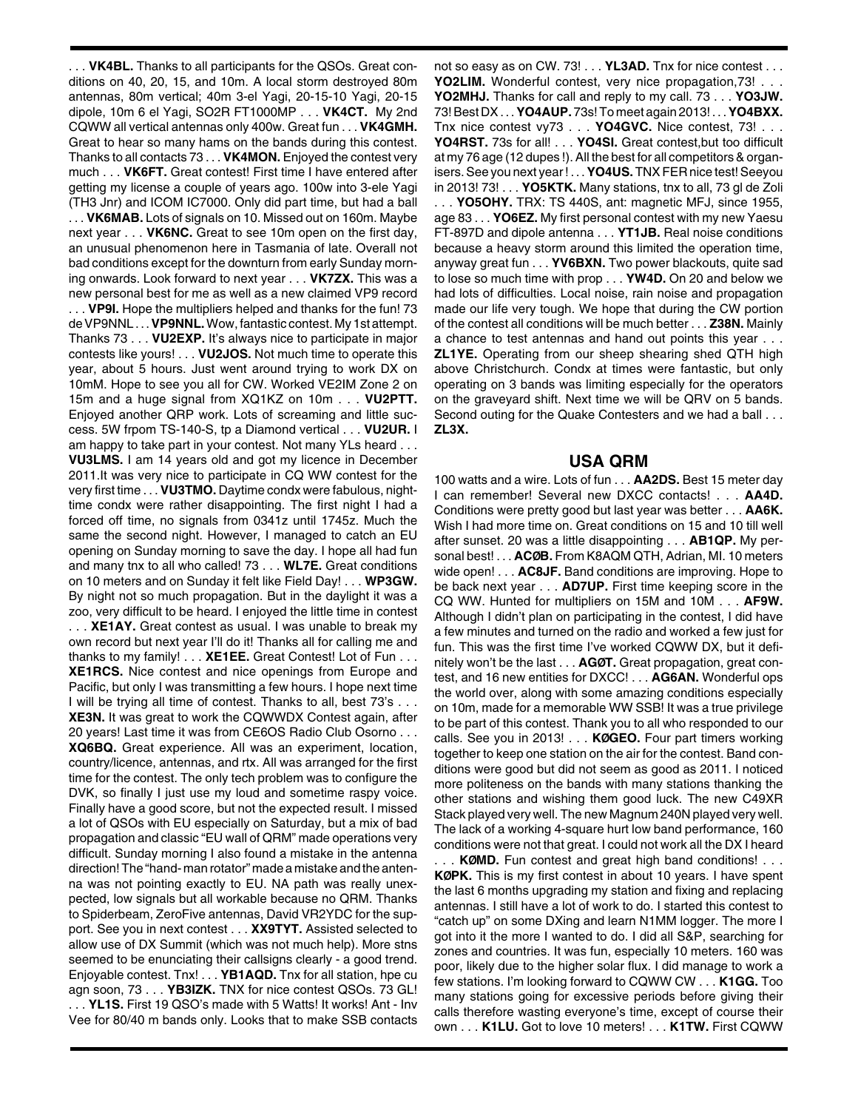. . . **VK4BL.** Thanks to all participants for the QSOs. Great conditions on 40, 20, 15, and 10m. A local storm destroyed 80m antennas, 80m vertical; 40m 3-el Yagi, 20-15-10 Yagi, 20-15 dipole, 10m 6 el Yagi, SO2R FT1000MP . . . **VK4CT.** My 2nd CQWW all vertical antennas only 400w. Great fun . . . **VK4GMH.** Great to hear so many hams on the bands during this contest. Thanks to all contacts 73 . . . **VK4MON.** Enjoyed the contest very much . . . **VK6FT.** Great contest! First time I have entered after getting my license a couple of years ago. 100w into 3-ele Yagi (TH3 Jnr) and ICOM IC7000. Only did part time, but had a ball . . . **VK6MAB.** Lots of signals on 10. Missed out on 160m. Maybe next year . . . **VK6NC.** Great to see 10m open on the first day, an unusual phenomenon here in Tasmania of late. Overall not bad conditions except for the downturn from early Sunday morning onwards. Look forward to next year . . . **VK7ZX.** This was a new personal best for me as well as a new claimed VP9 record . . . **VP9I.** Hope the multipliers helped and thanks for the fun! 73 de VP9NNL . . . **VP9NNL.**Wow, fantastic contest. My 1st attempt. Thanks 73 . . . **VU2EXP.** It's always nice to participate in major contests like yours! . . . **VU2JOS.** Not much time to operate this year, about 5 hours. Just went around trying to work DX on 10mM. Hope to see you all for CW. Worked VE2IM Zone 2 on 15m and a huge signal from XQ1KZ on 10m . . . **VU2PTT.** Enjoyed another QRP work. Lots of screaming and little success. 5W frpom TS-140-S, tp a Diamond vertical . . . **VU2UR.** I am happy to take part in your contest. Not many YLs heard . . . **VU3LMS.** I am 14 years old and got my licence in December 2011.It was very nice to participate in CQ WW contest for the very first time . . . **VU3TMO.** Daytime condx were fabulous, nighttime condx were rather disappointing. The first night I had a forced off time, no signals from 0341z until 1745z. Much the same the second night. However, I managed to catch an EU opening on Sunday morning to save the day. I hope all had fun and many tnx to all who called! 73 . . . **WL7E.** Great conditions on 10 meters and on Sunday it felt like Field Day! . . . **WP3GW.** By night not so much propagation. But in the daylight it was a zoo, very difficult to be heard. I enjoyed the little time in contest . . . **XE1AY.** Great contest as usual. I was unable to break my own record but next year I'll do it! Thanks all for calling me and thanks to my family! . . . **XE1EE.** Great Contest! Lot of Fun . . . **XE1RCS.** Nice contest and nice openings from Europe and Pacific, but only I was transmitting a few hours. I hope next time I will be trying all time of contest. Thanks to all, best 73's . . . **XE3N.** It was great to work the CQWWDX Contest again, after 20 years! Last time it was from CE6OS Radio Club Osorno . . . **XQ6BQ.** Great experience. All was an experiment, location, country/licence, antennas, and rtx. All was arranged for the first time for the contest. The only tech problem was to configure the DVK, so finally I just use my loud and sometime raspy voice. Finally have a good score, but not the expected result. I missed a lot of QSOs with EU especially on Saturday, but a mix of bad propagation and classic "EU wall of QRM" made operations very difficult. Sunday morning I also found a mistake in the antenna direction! The "hand- man rotator" made a mistake and the antenna was not pointing exactly to EU. NA path was really unexpected, low signals but all workable because no QRM. Thanks to Spiderbeam, ZeroFive antennas, David VR2YDC for the support. See you in next contest . . . **XX9TYT.** Assisted selected to allow use of DX Summit (which was not much help). More stns seemed to be enunciating their callsigns clearly - a good trend. Enjoyable contest. Tnx! . . . **YB1AQD.** Tnx for all station, hpe cu agn soon, 73 . . . **YB3IZK.** TNX for nice contest QSOs. 73 GL! . . . **YL1S.** First 19 QSO's made with 5 Watts! It works! Ant - Inv Vee for 80/40 m bands only. Looks that to make SSB contacts

not so easy as on CW. 73! . . . **YL3AD.** Tnx for nice contest . . . **YO2LIM.** Wonderful contest, very nice propagation,73! . . . **YO2MHJ.** Thanks for call and reply to my call. 73 . . . **YO3JW.** 73! Best DX . . . **YO4AUP.** 73s! To meet again 2013! . . . **YO4BXX.** Tnx nice contest vy73 . . . **YO4GVC.** Nice contest, 73! . . . **YO4RST.** 73s for all! . . . **YO4SI.** Great contest,but too difficult at my 76 age (12 dupes !). All the best for all competitors & organisers. See you next year ! . . . **YO4US.** TNX FER nice test! Seeyou in 2013! 73! . . . **YO5KTK.** Many stations, tnx to all, 73 gl de Zoli . . . **YO5OHY.** TRX: TS 440S, ant: magnetic MFJ, since 1955, age 83 . . . **YO6EZ.** My first personal contest with my new Yaesu FT-897D and dipole antenna . . . **YT1JB.** Real noise conditions because a heavy storm around this limited the operation time, anyway great fun . . . **YV6BXN.** Two power blackouts, quite sad to lose so much time with prop . . . **YW4D.** On 20 and below we had lots of difficulties. Local noise, rain noise and propagation made our life very tough. We hope that during the CW portion of the contest all conditions will be much better . . . **Z38N.** Mainly a chance to test antennas and hand out points this year . . . **ZL1YE.** Operating from our sheep shearing shed QTH high above Christchurch. Condx at times were fantastic, but only operating on 3 bands was limiting especially for the operators on the graveyard shift. Next time we will be QRV on 5 bands. Second outing for the Quake Contesters and we had a ball . . . **ZL3X.**

## **USA QRM**

100 watts and a wire. Lots of fun . . . **AA2DS.** Best 15 meter day I can remember! Several new DXCC contacts! . . . **AA4D.** Conditions were pretty good but last year was better . . . **AA6K.** Wish I had more time on. Great conditions on 15 and 10 till well after sunset. 20 was a little disappointing . . . **AB1QP.** My personal best! . . . **ACØB.** From K8AQM QTH, Adrian, MI. 10 meters wide open! . . . **AC8JF.** Band conditions are improving. Hope to be back next year . . . **AD7UP.** First time keeping score in the CQ WW. Hunted for multipliers on 15M and 10M . . . **AF9W.** Although I didn't plan on participating in the contest, I did have a few minutes and turned on the radio and worked a few just for fun. This was the first time I've worked CQWW DX, but it definitely won't be the last . . . **AGØT.** Great propagation, great contest, and 16 new entities for DXCC! . . . **AG6AN.** Wonderful ops the world over, along with some amazing conditions especially on 10m, made for a memorable WW SSB! It was a true privilege to be part of this contest. Thank you to all who responded to our calls. See you in 2013! . . . **KØGEO.** Four part timers working together to keep one station on the air for the contest. Band conditions were good but did not seem as good as 2011. I noticed more politeness on the bands with many stations thanking the other stations and wishing them good luck. The new C49XR Stack played very well. The new Magnum 240N played very well. The lack of a working 4-square hurt low band performance, 160 conditions were not that great. I could not work all the DX I heard

. . . **KØMD.** Fun contest and great high band conditions! . . . **KØPK.** This is my first contest in about 10 years. I have spent the last 6 months upgrading my station and fixing and replacing antennas. I still have a lot of work to do. I started this contest to "catch up" on some DXing and learn N1MM logger. The more I got into it the more I wanted to do. I did all S&P, searching for zones and countries. It was fun, especially 10 meters. 160 was poor, likely due to the higher solar flux. I did manage to work a few stations. I'm looking forward to CQWW CW . . . **K1GG.** Too many stations going for excessive periods before giving their calls therefore wasting everyone's time, except of course their own . . . **K1LU.** Got to love 10 meters! . . . **K1TW.** First CQWW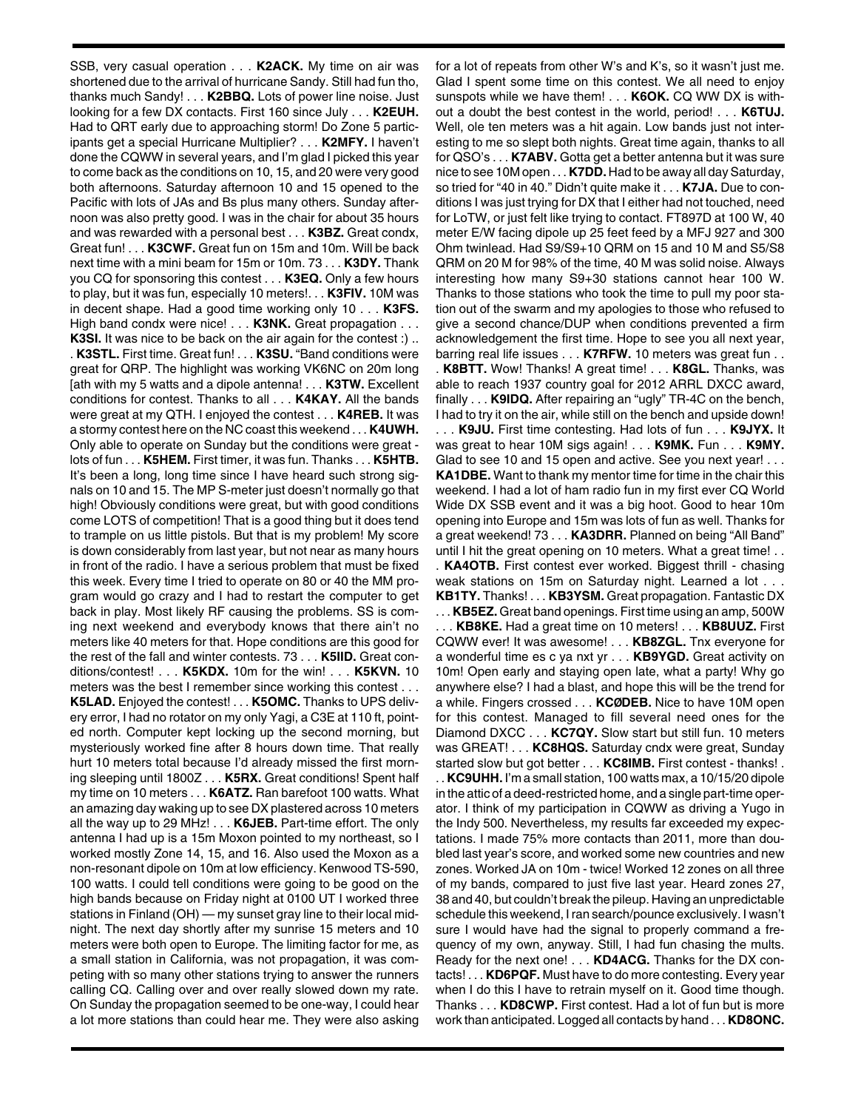SSB, very casual operation . . . **K2ACK.** My time on air was shortened due to the arrival of hurricane Sandy. Still had fun tho, thanks much Sandy! . . . **K2BBQ.** Lots of power line noise. Just looking for a few DX contacts. First 160 since July . . . **K2EUH.** Had to QRT early due to approaching storm! Do Zone 5 participants get a special Hurricane Multiplier? . . . **K2MFY.** I haven't done the CQWW in several years, and I'm glad I picked this year to come back as the conditions on 10, 15, and 20 were very good both afternoons. Saturday afternoon 10 and 15 opened to the Pacific with lots of JAs and Bs plus many others. Sunday afternoon was also pretty good. I was in the chair for about 35 hours and was rewarded with a personal best . . . **K3BZ.** Great condx, Great fun! . . . **K3CWF.** Great fun on 15m and 10m. Will be back next time with a mini beam for 15m or 10m. 73 . . . **K3DY.** Thank you CQ for sponsoring this contest . . . **K3EQ.** Only a few hours to play, but it was fun, especially 10 meters!. . . **K3FIV.** 10M was in decent shape. Had a good time working only 10 . . . **K3FS.** High band condx were nice! . . . **K3NK.** Great propagation . . . **K3SI.** It was nice to be back on the air again for the contest :) .. . **K3STL.** First time. Great fun! . . . **K3SU.** "Band conditions were great for QRP. The highlight was working VK6NC on 20m long [ath with my 5 watts and a dipole antenna! . . . **K3TW.** Excellent conditions for contest. Thanks to all . . . **K4KAY.** All the bands were great at my QTH. I enjoyed the contest . . . **K4REB.** It was a stormy contest here on the NC coast this weekend . . . **K4UWH.** Only able to operate on Sunday but the conditions were great lots of fun . . . **K5HEM.** First timer, it was fun. Thanks . . . **K5HTB.** It's been a long, long time since I have heard such strong signals on 10 and 15. The MP S-meter just doesn't normally go that high! Obviously conditions were great, but with good conditions come LOTS of competition! That is a good thing but it does tend to trample on us little pistols. But that is my problem! My score is down considerably from last year, but not near as many hours in front of the radio. I have a serious problem that must be fixed this week. Every time I tried to operate on 80 or 40 the MM program would go crazy and I had to restart the computer to get back in play. Most likely RF causing the problems. SS is coming next weekend and everybody knows that there ain't no meters like 40 meters for that. Hope conditions are this good for the rest of the fall and winter contests. 73 . . . **K5IID.** Great conditions/contest! . . . **K5KDX.** 10m for the win! . . . **K5KVN.** 10 meters was the best I remember since working this contest . . . **K5LAD.** Enjoyed the contest! . . . **K5OMC.** Thanks to UPS delivery error, I had no rotator on my only Yagi, a C3E at 110 ft, pointed north. Computer kept locking up the second morning, but mysteriously worked fine after 8 hours down time. That really hurt 10 meters total because I'd already missed the first morning sleeping until 1800Z . . . **K5RX.** Great conditions! Spent half my time on 10 meters . . . **K6ATZ.** Ran barefoot 100 watts. What an amazing day waking up to see DX plastered across 10 meters all the way up to 29 MHz! . . . **K6JEB.** Part-time effort. The only antenna I had up is a 15m Moxon pointed to my northeast, so I worked mostly Zone 14, 15, and 16. Also used the Moxon as a non-resonant dipole on 10m at low efficiency. Kenwood TS-590, 100 watts. I could tell conditions were going to be good on the high bands because on Friday night at 0100 UT I worked three stations in Finland (OH) — my sunset gray line to their local midnight. The next day shortly after my sunrise 15 meters and 10 meters were both open to Europe. The limiting factor for me, as a small station in California, was not propagation, it was competing with so many other stations trying to answer the runners calling CQ. Calling over and over really slowed down my rate. On Sunday the propagation seemed to be one-way, I could hear a lot more stations than could hear me. They were also asking

for a lot of repeats from other W's and K's, so it wasn't just me. Glad I spent some time on this contest. We all need to enjoy sunspots while we have them! . . . **K6OK.** CQ WW DX is without a doubt the best contest in the world, period! . . . **K6TUJ.** Well, ole ten meters was a hit again. Low bands just not interesting to me so slept both nights. Great time again, thanks to all for QSO's . . . **K7ABV.** Gotta get a better antenna but it was sure nice to see 10M open . . . **K7DD.** Had to be away all day Saturday, so tried for "40 in 40." Didn't quite make it . . . **K7JA.** Due to conditions I was just trying for DX that I either had not touched, need for LoTW, or just felt like trying to contact. FT897D at 100 W, 40 meter E/W facing dipole up 25 feet feed by a MFJ 927 and 300 Ohm twinlead. Had S9/S9+10 QRM on 15 and 10 M and S5/S8 QRM on 20 M for 98% of the time, 40 M was solid noise. Always interesting how many S9+30 stations cannot hear 100 W. Thanks to those stations who took the time to pull my poor station out of the swarm and my apologies to those who refused to give a second chance/DUP when conditions prevented a firm acknowledgement the first time. Hope to see you all next year, barring real life issues . . . **K7RFW.** 10 meters was great fun . . . **K8BTT.** Wow! Thanks! A great time! . . . **K8GL.** Thanks, was able to reach 1937 country goal for 2012 ARRL DXCC award, finally . . . **K9IDQ.** After repairing an "ugly" TR-4C on the bench, I had to try it on the air, while still on the bench and upside down! . . . **K9JU.** First time contesting. Had lots of fun . . . **K9JYX.** It was great to hear 10M sigs again! . . . **K9MK.** Fun . . . **K9MY.** Glad to see 10 and 15 open and active. See you next year! . . . **KA1DBE.** Want to thank my mentor time for time in the chair this weekend. I had a lot of ham radio fun in my first ever CQ World Wide DX SSB event and it was a big hoot. Good to hear 10m opening into Europe and 15m was lots of fun as well. Thanks for a great weekend! 73 . . . **KA3DRR.** Planned on being "All Band" until I hit the great opening on 10 meters. What a great time! . . . **KA4OTB.** First contest ever worked. Biggest thrill - chasing weak stations on 15m on Saturday night. Learned a lot . . . **KB1TY.** Thanks! . . . **KB3YSM.** Great propagation. Fantastic DX . . . **KB5EZ.** Great band openings. First time using an amp, 500W . . . **KB8KE.** Had a great time on 10 meters! . . . **KB8UUZ.** First CQWW ever! It was awesome! . . . **KB8ZGL.** Tnx everyone for a wonderful time es c ya nxt yr . . . **KB9YGD.** Great activity on 10m! Open early and staying open late, what a party! Why go anywhere else? I had a blast, and hope this will be the trend for a while. Fingers crossed . . . **KCØDEB.** Nice to have 10M open for this contest. Managed to fill several need ones for the Diamond DXCC . . . **KC7QY.** Slow start but still fun. 10 meters was GREAT! . . . **KC8HQS.** Saturday cndx were great, Sunday started slow but got better . . . **KC8IMB.** First contest - thanks! . . . **KC9UHH.** I'm a small station, 100 watts max, a 10/15/20 dipole in the attic of a deed-restricted home, and a single part-time operator. I think of my participation in CQWW as driving a Yugo in the Indy 500. Nevertheless, my results far exceeded my expectations. I made 75% more contacts than 2011, more than doubled last year's score, and worked some new countries and new zones. Worked JA on 10m - twice! Worked 12 zones on all three of my bands, compared to just five last year. Heard zones 27, 38 and 40, but couldn't break the pileup. Having an unpredictable schedule this weekend, I ran search/pounce exclusively. I wasn't sure I would have had the signal to properly command a frequency of my own, anyway. Still, I had fun chasing the mults. Ready for the next one! . . . **KD4ACG.** Thanks for the DX contacts! . . . **KD6PQF.** Must have to do more contesting. Every year

Thanks . . . **KD8CWP.** First contest. Had a lot of fun but is more work than anticipated. Logged all contacts by hand . . . **KD8ONC.**

when I do this I have to retrain myself on it. Good time though.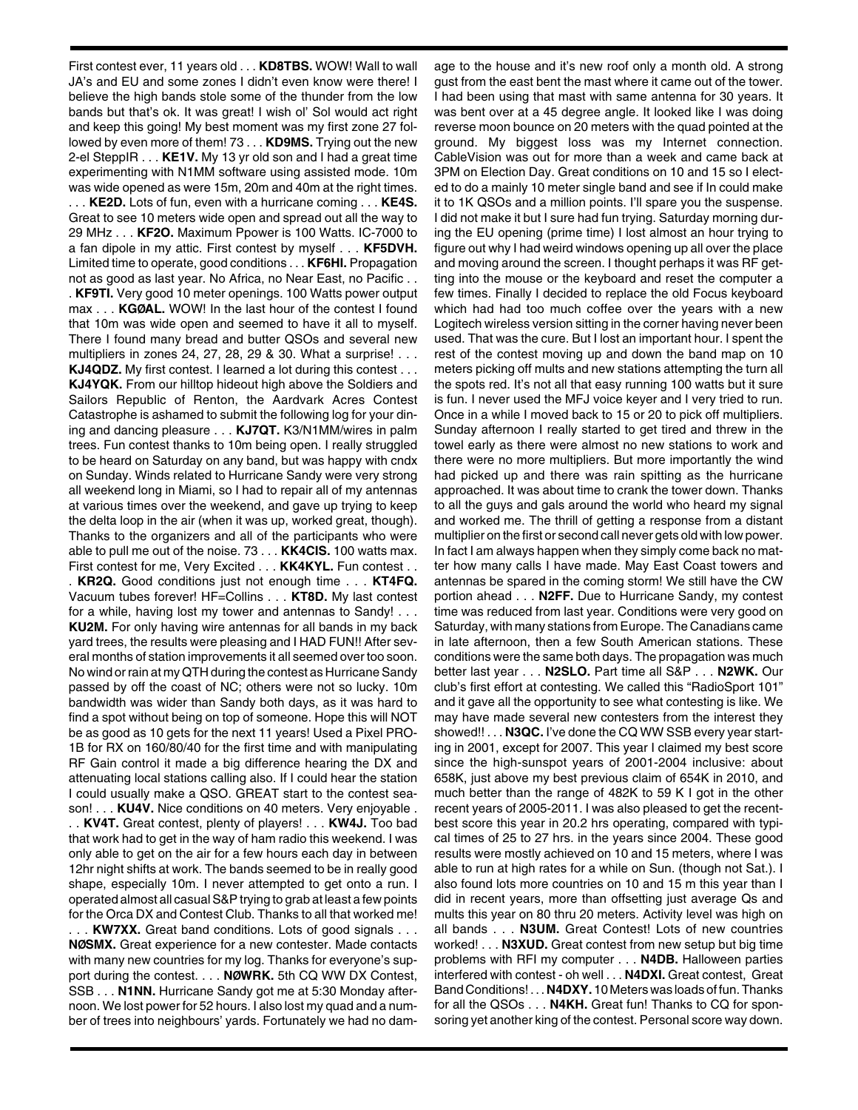First contest ever, 11 years old . . . **KD8TBS.** WOW! Wall to wall JA's and EU and some zones I didn't even know were there! I believe the high bands stole some of the thunder from the low bands but that's ok. It was great! I wish ol' Sol would act right and keep this going! My best moment was my first zone 27 followed by even more of them! 73 . . . **KD9MS.** Trying out the new 2-el SteppIR . . . **KE1V.** My 13 yr old son and I had a great time experimenting with N1MM software using assisted mode. 10m was wide opened as were 15m, 20m and 40m at the right times. . . . **KE2D.** Lots of fun, even with a hurricane coming . . . **KE4S.** Great to see 10 meters wide open and spread out all the way to 29 MHz . . . **KF2O.** Maximum Ppower is 100 Watts. IC-7000 to a fan dipole in my attic. First contest by myself . . . **KF5DVH.** Limited time to operate, good conditions . . . **KF6HI.** Propagation not as good as last year. No Africa, no Near East, no Pacific . . . **KF9TI.** Very good 10 meter openings. 100 Watts power output max . . . **KGØAL.** WOW! In the last hour of the contest I found that 10m was wide open and seemed to have it all to myself. There I found many bread and butter QSOs and several new multipliers in zones 24, 27, 28, 29 & 30. What a surprise! . . . **KJ4QDZ.** My first contest. I learned a lot during this contest . . . **KJ4YQK.** From our hilltop hideout high above the Soldiers and Sailors Republic of Renton, the Aardvark Acres Contest Catastrophe is ashamed to submit the following log for your dining and dancing pleasure . . . **KJ7QT.** K3/N1MM/wires in palm trees. Fun contest thanks to 10m being open. I really struggled to be heard on Saturday on any band, but was happy with cndx on Sunday. Winds related to Hurricane Sandy were very strong all weekend long in Miami, so I had to repair all of my antennas at various times over the weekend, and gave up trying to keep the delta loop in the air (when it was up, worked great, though). Thanks to the organizers and all of the participants who were able to pull me out of the noise. 73 . . . **KK4CIS.** 100 watts max. First contest for me, Very Excited . . . **KK4KYL.** Fun contest . . . **KR2Q.** Good conditions just not enough time . . . **KT4FQ.** Vacuum tubes forever! HF=Collins . . . **KT8D.** My last contest for a while, having lost my tower and antennas to Sandy! . . . **KU2M.** For only having wire antennas for all bands in my back yard trees, the results were pleasing and I HAD FUN!! After several months of station improvements it all seemed over too soon. No wind or rain at my QTH during the contest as Hurricane Sandy passed by off the coast of NC; others were not so lucky. 10m bandwidth was wider than Sandy both days, as it was hard to find a spot without being on top of someone. Hope this will NOT be as good as 10 gets for the next 11 years! Used a Pixel PRO-1B for RX on 160/80/40 for the first time and with manipulating RF Gain control it made a big difference hearing the DX and attenuating local stations calling also. If I could hear the station I could usually make a QSO. GREAT start to the contest season! . . . **KU4V.** Nice conditions on 40 meters. Very enjoyable . . . **KV4T.** Great contest, plenty of players! . . . **KW4J.** Too bad that work had to get in the way of ham radio this weekend. I was only able to get on the air for a few hours each day in between 12hr night shifts at work. The bands seemed to be in really good shape, especially 10m. I never attempted to get onto a run. I operated almost all casual S&P trying to grab at least a few points for the Orca DX and Contest Club. Thanks to all that worked me! . . . **KW7XX.** Great band conditions. Lots of good signals . . . **NØSMX.** Great experience for a new contester. Made contacts

with many new countries for my log. Thanks for everyone's support during the contest. . . . **NØWRK.** 5th CQ WW DX Contest, SSB . . . **N1NN.** Hurricane Sandy got me at 5:30 Monday afternoon. We lost power for 52 hours. I also lost my quad and a number of trees into neighbours' yards. Fortunately we had no damage to the house and it's new roof only a month old. A strong gust from the east bent the mast where it came out of the tower. I had been using that mast with same antenna for 30 years. It was bent over at a 45 degree angle. It looked like I was doing reverse moon bounce on 20 meters with the quad pointed at the ground. My biggest loss was my Internet connection. CableVision was out for more than a week and came back at 3PM on Election Day. Great conditions on 10 and 15 so I elected to do a mainly 10 meter single band and see if In could make it to 1K QSOs and a million points. I'll spare you the suspense. I did not make it but I sure had fun trying. Saturday morning during the EU opening (prime time) I lost almost an hour trying to figure out why I had weird windows opening up all over the place and moving around the screen. I thought perhaps it was RF getting into the mouse or the keyboard and reset the computer a few times. Finally I decided to replace the old Focus keyboard which had had too much coffee over the years with a new Logitech wireless version sitting in the corner having never been used. That was the cure. But I lost an important hour. I spent the rest of the contest moving up and down the band map on 10 meters picking off mults and new stations attempting the turn all the spots red. It's not all that easy running 100 watts but it sure is fun. I never used the MFJ voice keyer and I very tried to run. Once in a while I moved back to 15 or 20 to pick off multipliers. Sunday afternoon I really started to get tired and threw in the towel early as there were almost no new stations to work and there were no more multipliers. But more importantly the wind had picked up and there was rain spitting as the hurricane approached. It was about time to crank the tower down. Thanks to all the guys and gals around the world who heard my signal and worked me. The thrill of getting a response from a distant multiplier on the first or second call never gets old with low power. In fact I am always happen when they simply come back no matter how many calls I have made. May East Coast towers and antennas be spared in the coming storm! We still have the CW portion ahead . . . **N2FF.** Due to Hurricane Sandy, my contest time was reduced from last year. Conditions were very good on Saturday, with many stations from Europe. The Canadians came in late afternoon, then a few South American stations. These conditions were the same both days. The propagation was much better last year . . . **N2SLO.** Part time all S&P . . . **N2WK.** Our club's first effort at contesting. We called this "RadioSport 101" and it gave all the opportunity to see what contesting is like. We may have made several new contesters from the interest they showed!! . . . **N3QC.** I've done the CQ WW SSB every year starting in 2001, except for 2007. This year I claimed my best score since the high-sunspot years of 2001-2004 inclusive: about 658K, just above my best previous claim of 654K in 2010, and much better than the range of 482K to 59 K I got in the other recent years of 2005-2011. I was also pleased to get the recentbest score this year in 20.2 hrs operating, compared with typical times of 25 to 27 hrs. in the years since 2004. These good results were mostly achieved on 10 and 15 meters, where I was able to run at high rates for a while on Sun. (though not Sat.). I also found lots more countries on 10 and 15 m this year than I did in recent years, more than offsetting just average Qs and mults this year on 80 thru 20 meters. Activity level was high on all bands . . . **N3UM.** Great Contest! Lots of new countries worked! . . . **N3XUD.** Great contest from new setup but big time problems with RFI my computer . . . **N4DB.** Halloween parties interfered with contest - oh well . . . **N4DXI.** Great contest, Great Band Conditions! . . . **N4DXY.** 10 Meters was loads of fun. Thanks for all the QSOs . . . **N4KH.** Great fun! Thanks to CQ for sponsoring yet another king of the contest. Personal score way down.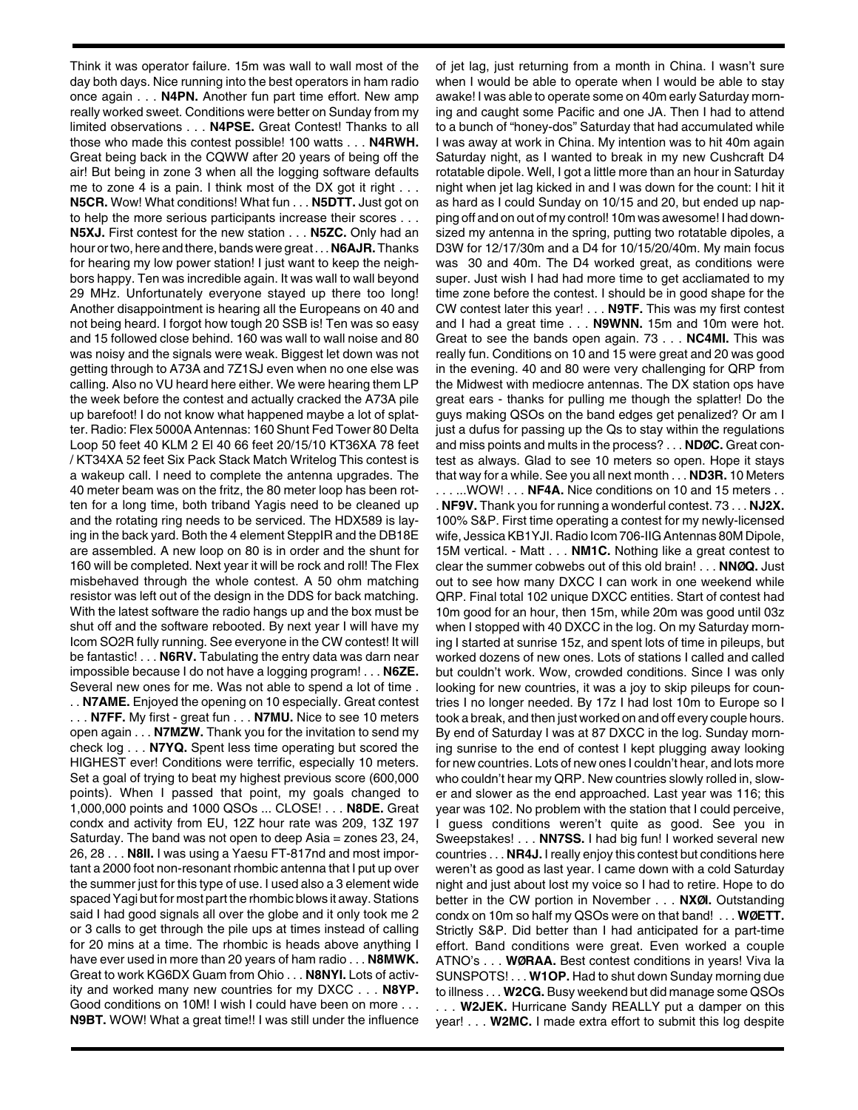Think it was operator failure. 15m was wall to wall most of the day both days. Nice running into the best operators in ham radio once again . . . **N4PN.** Another fun part time effort. New amp really worked sweet. Conditions were better on Sunday from my limited observations . . . **N4PSE.** Great Contest! Thanks to all those who made this contest possible! 100 watts . . . **N4RWH.** Great being back in the CQWW after 20 years of being off the air! But being in zone 3 when all the logging software defaults me to zone 4 is a pain. I think most of the DX got it right . . . **N5CR.** Wow! What conditions! What fun . . . **N5DTT.** Just got on to help the more serious participants increase their scores . . . **N5XJ.** First contest for the new station . . . **N5ZC.** Only had an hour or two, here and there, bands were great . . . **N6AJR.**Thanks for hearing my low power station! I just want to keep the neighbors happy. Ten was incredible again. It was wall to wall beyond 29 MHz. Unfortunately everyone stayed up there too long! Another disappointment is hearing all the Europeans on 40 and not being heard. I forgot how tough 20 SSB is! Ten was so easy and 15 followed close behind. 160 was wall to wall noise and 80 was noisy and the signals were weak. Biggest let down was not getting through to A73A and 7Z1SJ even when no one else was calling. Also no VU heard here either. We were hearing them LP the week before the contest and actually cracked the A73A pile up barefoot! I do not know what happened maybe a lot of splatter. Radio: Flex 5000A Antennas: 160 Shunt Fed Tower 80 Delta Loop 50 feet 40 KLM 2 El 40 66 feet 20/15/10 KT36XA 78 feet / KT34XA 52 feet Six Pack Stack Match Writelog This contest is a wakeup call. I need to complete the antenna upgrades. The 40 meter beam was on the fritz, the 80 meter loop has been rotten for a long time, both triband Yagis need to be cleaned up and the rotating ring needs to be serviced. The HDX589 is laying in the back yard. Both the 4 element SteppIR and the DB18E are assembled. A new loop on 80 is in order and the shunt for 160 will be completed. Next year it will be rock and roll! The Flex misbehaved through the whole contest. A 50 ohm matching resistor was left out of the design in the DDS for back matching. With the latest software the radio hangs up and the box must be shut off and the software rebooted. By next year I will have my Icom SO2R fully running. See everyone in the CW contest! It will be fantastic! . . . **N6RV.** Tabulating the entry data was darn near impossible because I do not have a logging program! . . . **N6ZE.** Several new ones for me. Was not able to spend a lot of time . . . **N7AME.** Enjoyed the opening on 10 especially. Great contest . . . **N7FF.** My first - great fun . . . **N7MU.** Nice to see 10 meters open again . . . **N7MZW.** Thank you for the invitation to send my check log . . . **N7YQ.** Spent less time operating but scored the HIGHEST ever! Conditions were terrific, especially 10 meters. Set a goal of trying to beat my highest previous score (600,000 points). When I passed that point, my goals changed to 1,000,000 points and 1000 QSOs ... CLOSE! . . . **N8DE.** Great condx and activity from EU, 12Z hour rate was 209, 13Z 197 Saturday. The band was not open to deep Asia = zones 23, 24, 26, 28 . . . **N8II.** I was using a Yaesu FT-817nd and most important a 2000 foot non-resonant rhombic antenna that I put up over the summer just for this type of use. I used also a 3 element wide spaced Yagi but for most part the rhombic blows it away. Stations said I had good signals all over the globe and it only took me 2 or 3 calls to get through the pile ups at times instead of calling for 20 mins at a time. The rhombic is heads above anything I have ever used in more than 20 years of ham radio . . . **N8MWK.** Great to work KG6DX Guam from Ohio . . . **N8NYI.** Lots of activity and worked many new countries for my DXCC . . . **N8YP.** Good conditions on 10M! I wish I could have been on more . . . **N9BT.** WOW! What a great time!! I was still under the influence of jet lag, just returning from a month in China. I wasn't sure when I would be able to operate when I would be able to stay awake! I was able to operate some on 40m early Saturday morning and caught some Pacific and one JA. Then I had to attend to a bunch of "honey-dos" Saturday that had accumulated while I was away at work in China. My intention was to hit 40m again Saturday night, as I wanted to break in my new Cushcraft D4 rotatable dipole. Well, I got a little more than an hour in Saturday night when jet lag kicked in and I was down for the count: I hit it as hard as I could Sunday on 10/15 and 20, but ended up napping off and on out of my control! 10m was awesome! I had downsized my antenna in the spring, putting two rotatable dipoles, a D3W for 12/17/30m and a D4 for 10/15/20/40m. My main focus was 30 and 40m. The D4 worked great, as conditions were super. Just wish I had had more time to get accliamated to my time zone before the contest. I should be in good shape for the CW contest later this year! . . . **N9TF.** This was my first contest and I had a great time . . . **N9WNN.** 15m and 10m were hot. Great to see the bands open again. 73 . . . **NC4MI.** This was really fun. Conditions on 10 and 15 were great and 20 was good in the evening. 40 and 80 were very challenging for QRP from the Midwest with mediocre antennas. The DX station ops have great ears - thanks for pulling me though the splatter! Do the guys making QSOs on the band edges get penalized? Or am I just a dufus for passing up the Qs to stay within the regulations and miss points and mults in the process? . . . **NDØC.** Great contest as always. Glad to see 10 meters so open. Hope it stays that way for a while. See you all next month . . . **ND3R.** 10 Meters . . . ...WOW! . . . **NF4A.** Nice conditions on 10 and 15 meters . . . **NF9V.** Thank you for running a wonderful contest. 73 . . . **NJ2X.** 100% S&P. First time operating a contest for my newly-licensed wife, Jessica KB1YJI. Radio Icom 706-IIG Antennas 80M Dipole, 15M vertical. - Matt . . . **NM1C.** Nothing like a great contest to clear the summer cobwebs out of this old brain! . . . **NNØQ.** Just out to see how many DXCC I can work in one weekend while QRP. Final total 102 unique DXCC entities. Start of contest had 10m good for an hour, then 15m, while 20m was good until 03z when I stopped with 40 DXCC in the log. On my Saturday morning I started at sunrise 15z, and spent lots of time in pileups, but worked dozens of new ones. Lots of stations I called and called but couldn't work. Wow, crowded conditions. Since I was only looking for new countries, it was a joy to skip pileups for countries I no longer needed. By 17z I had lost 10m to Europe so I took a break, and then just worked on and off every couple hours. By end of Saturday I was at 87 DXCC in the log. Sunday morning sunrise to the end of contest I kept plugging away looking for new countries. Lots of new ones I couldn't hear, and lots more who couldn't hear my QRP. New countries slowly rolled in, slower and slower as the end approached. Last year was 116; this year was 102. No problem with the station that I could perceive, I guess conditions weren't quite as good. See you in Sweepstakes! . . . **NN7SS.** I had big fun! I worked several new countries . . . **NR4J.** I really enjoy this contest but conditions here weren't as good as last year. I came down with a cold Saturday night and just about lost my voice so I had to retire. Hope to do better in the CW portion in November . . . **NXØI.** Outstanding condx on 10m so half my QSOs were on that band! . . . **WØETT.** Strictly S&P. Did better than I had anticipated for a part-time effort. Band conditions were great. Even worked a couple ATNO's . . . **WØRAA.** Best contest conditions in years! Viva la SUNSPOTS! . . . **W1OP.** Had to shut down Sunday morning due to illness . . . **W2CG.** Busy weekend but did manage some QSOs . . . **W2JEK.** Hurricane Sandy REALLY put a damper on this year! . . . **W2MC.** I made extra effort to submit this log despite